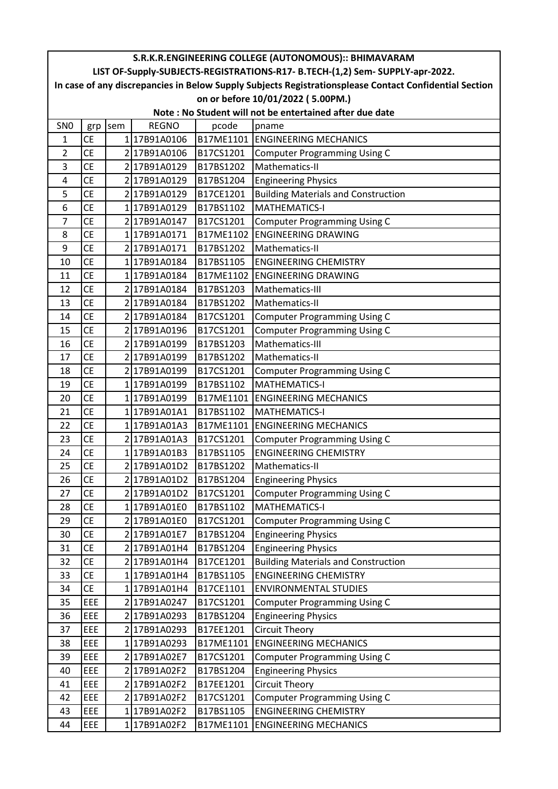| S.R.K.R.ENGINEERING COLLEGE (AUTONOMOUS):: BHIMAVARAM   |            |     |              |           |                                                                                                        |  |  |  |  |
|---------------------------------------------------------|------------|-----|--------------|-----------|--------------------------------------------------------------------------------------------------------|--|--|--|--|
|                                                         |            |     |              |           | LIST OF-Supply-SUBJECTS-REGISTRATIONS-R17- B.TECH-(1,2) Sem- SUPPLY-apr-2022.                          |  |  |  |  |
|                                                         |            |     |              |           | In case of any discrepancies in Below Supply Subjects Registrationsplease Contact Confidential Section |  |  |  |  |
| on or before 10/01/2022 (5.00PM.)                       |            |     |              |           |                                                                                                        |  |  |  |  |
| Note: No Student will not be entertained after due date |            |     |              |           |                                                                                                        |  |  |  |  |
| SN <sub>0</sub>                                         | grp        | sem | <b>REGNO</b> | pcode     | pname                                                                                                  |  |  |  |  |
| 1                                                       | <b>CE</b>  |     | 117B91A0106  |           | <b>B17ME1101 ENGINEERING MECHANICS</b>                                                                 |  |  |  |  |
| 2                                                       | <b>CE</b>  |     | 2 17B91A0106 | B17CS1201 | <b>Computer Programming Using C</b>                                                                    |  |  |  |  |
| 3                                                       | <b>CE</b>  |     | 2 17B91A0129 | B17BS1202 | Mathematics-II                                                                                         |  |  |  |  |
| 4                                                       | <b>CE</b>  |     | 2 17B91A0129 | B17BS1204 | <b>Engineering Physics</b>                                                                             |  |  |  |  |
| 5                                                       | <b>CE</b>  |     | 217B91A0129  | B17CE1201 | <b>Building Materials and Construction</b>                                                             |  |  |  |  |
| 6                                                       | <b>CE</b>  |     | 117B91A0129  | B17BS1102 | <b>MATHEMATICS-I</b>                                                                                   |  |  |  |  |
| 7                                                       | <b>CE</b>  |     | 2 17B91A0147 | B17CS1201 | <b>Computer Programming Using C</b>                                                                    |  |  |  |  |
| 8                                                       | <b>CE</b>  |     | 117B91A0171  | B17ME1102 | <b>ENGINEERING DRAWING</b>                                                                             |  |  |  |  |
| 9                                                       | <b>CE</b>  |     | 2 17B91A0171 | B17BS1202 | Mathematics-II                                                                                         |  |  |  |  |
| 10                                                      | <b>CE</b>  |     | 117B91A0184  | B17BS1105 | <b>ENGINEERING CHEMISTRY</b>                                                                           |  |  |  |  |
| 11                                                      | <b>CE</b>  |     | 117B91A0184  | B17ME1102 | <b>ENGINEERING DRAWING</b>                                                                             |  |  |  |  |
| 12                                                      | <b>CE</b>  |     | 217B91A0184  | B17BS1203 | Mathematics-III                                                                                        |  |  |  |  |
| 13                                                      | <b>CE</b>  |     | 2 17B91A0184 | B17BS1202 | Mathematics-II                                                                                         |  |  |  |  |
| 14                                                      | <b>CE</b>  |     | 2 17B91A0184 | B17CS1201 | <b>Computer Programming Using C</b>                                                                    |  |  |  |  |
| 15                                                      | <b>CE</b>  |     | 2 17B91A0196 | B17CS1201 | <b>Computer Programming Using C</b>                                                                    |  |  |  |  |
| 16                                                      | <b>CE</b>  |     | 2 17B91A0199 | B17BS1203 | Mathematics-III                                                                                        |  |  |  |  |
| 17                                                      | <b>CE</b>  |     | 2 17B91A0199 | B17BS1202 | Mathematics-II                                                                                         |  |  |  |  |
| 18                                                      | <b>CE</b>  |     | 2 17B91A0199 | B17CS1201 | <b>Computer Programming Using C</b>                                                                    |  |  |  |  |
| 19                                                      | <b>CE</b>  |     | 117B91A0199  | B17BS1102 | <b>MATHEMATICS-I</b>                                                                                   |  |  |  |  |
| 20                                                      | <b>CE</b>  |     | 117B91A0199  | B17ME1101 | <b>ENGINEERING MECHANICS</b>                                                                           |  |  |  |  |
| 21                                                      | <b>CE</b>  |     | 117B91A01A1  | B17BS1102 | MATHEMATICS-I                                                                                          |  |  |  |  |
| 22                                                      | <b>CE</b>  |     | 117B91A01A3  | B17ME1101 | <b>ENGINEERING MECHANICS</b>                                                                           |  |  |  |  |
| 23                                                      | <b>CE</b>  |     | 2 17B91A01A3 | B17CS1201 | <b>Computer Programming Using C</b>                                                                    |  |  |  |  |
| 24                                                      | <b>CE</b>  |     | 117B91A01B3  | B17BS1105 | <b>ENGINEERING CHEMISTRY</b>                                                                           |  |  |  |  |
| 25                                                      | <b>CE</b>  |     | 217B91A01D2  | B17BS1202 | Mathematics-II                                                                                         |  |  |  |  |
| 26                                                      | <b>CE</b>  |     | 217B91A01D2  | B17BS1204 | <b>Engineering Physics</b>                                                                             |  |  |  |  |
| 27                                                      | <b>CE</b>  |     | 217B91A01D2  | B17CS1201 | <b>Computer Programming Using C</b>                                                                    |  |  |  |  |
| 28                                                      | <b>CE</b>  |     | 117B91A01E0  | B17BS1102 | <b>MATHEMATICS-I</b>                                                                                   |  |  |  |  |
| 29                                                      | <b>CE</b>  |     | 2 17B91A01E0 | B17CS1201 | <b>Computer Programming Using C</b>                                                                    |  |  |  |  |
| 30                                                      | <b>CE</b>  |     | 2 17B91A01E7 | B17BS1204 | <b>Engineering Physics</b>                                                                             |  |  |  |  |
| 31                                                      | <b>CE</b>  |     | 217B91A01H4  | B17BS1204 | <b>Engineering Physics</b>                                                                             |  |  |  |  |
| 32                                                      | <b>CE</b>  |     | 2 17B91A01H4 | B17CE1201 | <b>Building Materials and Construction</b>                                                             |  |  |  |  |
| 33                                                      | <b>CE</b>  |     | 1 17B91A01H4 | B17BS1105 | <b>ENGINEERING CHEMISTRY</b>                                                                           |  |  |  |  |
| 34                                                      | <b>CE</b>  |     | 1 17B91A01H4 | B17CE1101 | <b>ENVIRONMENTAL STUDIES</b>                                                                           |  |  |  |  |
| 35                                                      | EEE        |     | 2 17B91A0247 | B17CS1201 | <b>Computer Programming Using C</b>                                                                    |  |  |  |  |
| 36                                                      | EEE        |     | 2 17B91A0293 | B17BS1204 | <b>Engineering Physics</b>                                                                             |  |  |  |  |
| 37                                                      | <b>EEE</b> |     | 2 17B91A0293 | B17EE1201 | <b>Circuit Theory</b>                                                                                  |  |  |  |  |
| 38                                                      | <b>EEE</b> |     | 1 17B91A0293 | B17ME1101 | <b>ENGINEERING MECHANICS</b>                                                                           |  |  |  |  |
| 39                                                      | EEE        |     | 2 17B91A02E7 | B17CS1201 | <b>Computer Programming Using C</b>                                                                    |  |  |  |  |
| 40                                                      | EEE        |     | 2 17B91A02F2 | B17BS1204 | <b>Engineering Physics</b>                                                                             |  |  |  |  |
| 41                                                      | EEE        |     | 2 17B91A02F2 | B17EE1201 | Circuit Theory                                                                                         |  |  |  |  |
| 42                                                      | EEE        |     | 2 17B91A02F2 | B17CS1201 | <b>Computer Programming Using C</b>                                                                    |  |  |  |  |
| 43                                                      | EEE        |     | 1 17B91A02F2 | B17BS1105 | <b>ENGINEERING CHEMISTRY</b>                                                                           |  |  |  |  |
| 44                                                      | EEE        |     | 1 17B91A02F2 | B17ME1101 | <b>ENGINEERING MECHANICS</b>                                                                           |  |  |  |  |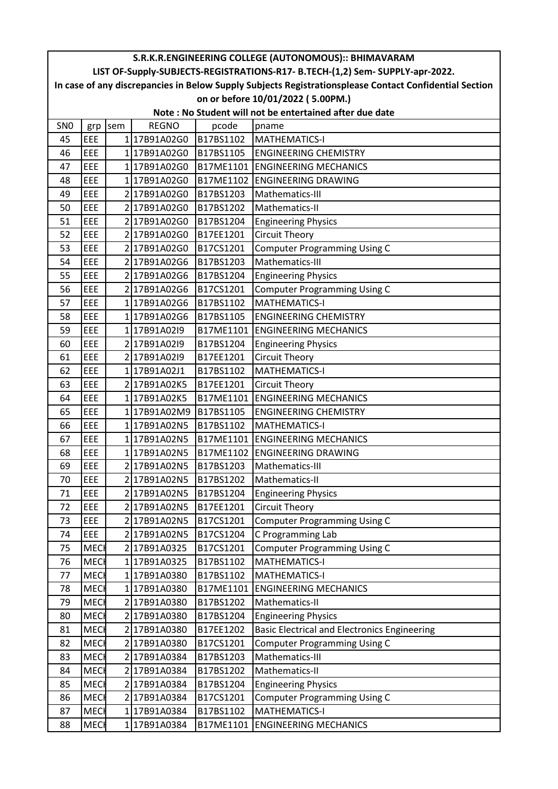| S.R.K.R.ENGINEERING COLLEGE (AUTONOMOUS):: BHIMAVARAM   |                                                                                                        |     |              |           |                                                                               |  |  |  |  |
|---------------------------------------------------------|--------------------------------------------------------------------------------------------------------|-----|--------------|-----------|-------------------------------------------------------------------------------|--|--|--|--|
|                                                         |                                                                                                        |     |              |           | LIST OF-Supply-SUBJECTS-REGISTRATIONS-R17- B.TECH-(1,2) Sem- SUPPLY-apr-2022. |  |  |  |  |
|                                                         | In case of any discrepancies in Below Supply Subjects Registrationsplease Contact Confidential Section |     |              |           |                                                                               |  |  |  |  |
| on or before 10/01/2022 (5.00PM.)                       |                                                                                                        |     |              |           |                                                                               |  |  |  |  |
| Note: No Student will not be entertained after due date |                                                                                                        |     |              |           |                                                                               |  |  |  |  |
| SN <sub>0</sub>                                         | grp                                                                                                    | sem | <b>REGNO</b> | pcode     | pname                                                                         |  |  |  |  |
| 45                                                      | EEE                                                                                                    |     | 117B91A02G0  | B17BS1102 | MATHEMATICS-I                                                                 |  |  |  |  |
| 46                                                      | EEE                                                                                                    |     | 117B91A02G0  | B17BS1105 | <b>ENGINEERING CHEMISTRY</b>                                                  |  |  |  |  |
| 47                                                      | EEE                                                                                                    |     | 1 17B91A02G0 | B17ME1101 | <b>ENGINEERING MECHANICS</b>                                                  |  |  |  |  |
| 48                                                      | EEE                                                                                                    |     | 117B91A02G0  |           | B17ME1102 ENGINEERING DRAWING                                                 |  |  |  |  |
| 49                                                      | EEE                                                                                                    |     | 2 17B91A02G0 | B17BS1203 | Mathematics-III                                                               |  |  |  |  |
| 50                                                      | <b>EEE</b>                                                                                             |     | 2 17B91A02G0 | B17BS1202 | Mathematics-II                                                                |  |  |  |  |
| 51                                                      | EEE                                                                                                    |     | 2 17B91A02G0 | B17BS1204 | <b>Engineering Physics</b>                                                    |  |  |  |  |
| 52                                                      | EEE                                                                                                    |     | 217B91A02G0  | B17EE1201 | <b>Circuit Theory</b>                                                         |  |  |  |  |
| 53                                                      | EEE                                                                                                    |     | 2 17B91A02G0 | B17CS1201 | <b>Computer Programming Using C</b>                                           |  |  |  |  |
| 54                                                      | EEE                                                                                                    |     | 2 17B91A02G6 | B17BS1203 | Mathematics-III                                                               |  |  |  |  |
| 55                                                      | EEE                                                                                                    |     | 2 17B91A02G6 | B17BS1204 | <b>Engineering Physics</b>                                                    |  |  |  |  |
| 56                                                      | EEE                                                                                                    |     | 217B91A02G6  | B17CS1201 | <b>Computer Programming Using C</b>                                           |  |  |  |  |
| 57                                                      | EEE                                                                                                    |     | 117B91A02G6  | B17BS1102 | <b>MATHEMATICS-I</b>                                                          |  |  |  |  |
| 58                                                      | <b>EEE</b>                                                                                             |     | 117B91A02G6  | B17BS1105 | <b>ENGINEERING CHEMISTRY</b>                                                  |  |  |  |  |
| 59                                                      | EEE                                                                                                    |     | 117B91A02I9  | B17ME1101 | <b>ENGINEERING MECHANICS</b>                                                  |  |  |  |  |
| 60                                                      | EEE                                                                                                    |     | 2 17B91A02I9 | B17BS1204 | <b>Engineering Physics</b>                                                    |  |  |  |  |
| 61                                                      | EEE                                                                                                    |     | 2 17B91A02I9 | B17EE1201 | <b>Circuit Theory</b>                                                         |  |  |  |  |
| 62                                                      | EEE                                                                                                    |     | 117B91A02J1  | B17BS1102 | <b>MATHEMATICS-I</b>                                                          |  |  |  |  |
| 63                                                      | EEE                                                                                                    |     | 2 17B91A02K5 | B17EE1201 | Circuit Theory                                                                |  |  |  |  |
| 64                                                      | EEE                                                                                                    |     | 117B91A02K5  | B17ME1101 | <b>ENGINEERING MECHANICS</b>                                                  |  |  |  |  |
| 65                                                      | EEE                                                                                                    |     | 117B91A02M9  | B17BS1105 | <b>ENGINEERING CHEMISTRY</b>                                                  |  |  |  |  |
| 66                                                      | EEE                                                                                                    |     | 117B91A02N5  | B17BS1102 | <b>MATHEMATICS-I</b>                                                          |  |  |  |  |
| 67                                                      | EEE                                                                                                    |     | 117B91A02N5  |           | B17ME1101 ENGINEERING MECHANICS                                               |  |  |  |  |
| 68                                                      | EEE                                                                                                    |     | 117B91A02N5  |           | B17ME1102 ENGINEERING DRAWING                                                 |  |  |  |  |
| 69                                                      | <b>EEE</b>                                                                                             |     | 2 17B91A02N5 | B17BS1203 | Mathematics-III                                                               |  |  |  |  |
| 70                                                      | EEE                                                                                                    |     | 2 17B91A02N5 | B17BS1202 | Mathematics-II                                                                |  |  |  |  |
| 71                                                      | EEE                                                                                                    |     | 217B91A02N5  | B17BS1204 | <b>Engineering Physics</b>                                                    |  |  |  |  |
| 72                                                      | <b>EEE</b>                                                                                             |     | 2 17B91A02N5 | B17EE1201 | <b>Circuit Theory</b>                                                         |  |  |  |  |
| 73                                                      | EEE                                                                                                    |     | 2 17B91A02N5 | B17CS1201 | <b>Computer Programming Using C</b>                                           |  |  |  |  |
| 74                                                      | EEE                                                                                                    |     | 2 17B91A02N5 | B17CS1204 | C Programming Lab                                                             |  |  |  |  |
| 75                                                      | <b>MEC</b>                                                                                             |     | 217B91A0325  | B17CS1201 | <b>Computer Programming Using C</b>                                           |  |  |  |  |
| 76                                                      | <b>MEC</b>                                                                                             |     | 117B91A0325  | B17BS1102 | <b>MATHEMATICS-I</b>                                                          |  |  |  |  |
| 77                                                      | <b>MEC</b>                                                                                             |     | 1 17B91A0380 | B17BS1102 | <b>MATHEMATICS-I</b>                                                          |  |  |  |  |
| 78                                                      | <b>MECH</b>                                                                                            |     | 1 17B91A0380 | B17ME1101 | <b>ENGINEERING MECHANICS</b>                                                  |  |  |  |  |
| 79                                                      | <b>MECH</b>                                                                                            |     | 2 17B91A0380 | B17BS1202 | Mathematics-II                                                                |  |  |  |  |
| 80                                                      | <b>MEC</b>                                                                                             |     | 2 17B91A0380 | B17BS1204 | <b>Engineering Physics</b>                                                    |  |  |  |  |
| 81                                                      | <b>MECH</b>                                                                                            |     | 2 17B91A0380 | B17EE1202 | <b>Basic Electrical and Electronics Engineering</b>                           |  |  |  |  |
| 82                                                      | <b>MECH</b>                                                                                            |     | 2 17B91A0380 | B17CS1201 | <b>Computer Programming Using C</b>                                           |  |  |  |  |
| 83                                                      | <b>MECH</b>                                                                                            |     | 217B91A0384  | B17BS1203 | Mathematics-III                                                               |  |  |  |  |
| 84                                                      | <b>MEC</b>                                                                                             |     | 217B91A0384  | B17BS1202 | Mathematics-II                                                                |  |  |  |  |
| 85                                                      | <b>MECH</b>                                                                                            |     | 2 17B91A0384 | B17BS1204 | <b>Engineering Physics</b>                                                    |  |  |  |  |
| 86                                                      | <b>MEC</b>                                                                                             |     | 2 17B91A0384 | B17CS1201 | <b>Computer Programming Using C</b>                                           |  |  |  |  |
| 87                                                      | <b>MECH</b>                                                                                            |     | 117B91A0384  | B17BS1102 | MATHEMATICS-I                                                                 |  |  |  |  |
| 88                                                      | <b>MECH</b>                                                                                            |     | 1 17B91A0384 | B17ME1101 | <b>ENGINEERING MECHANICS</b>                                                  |  |  |  |  |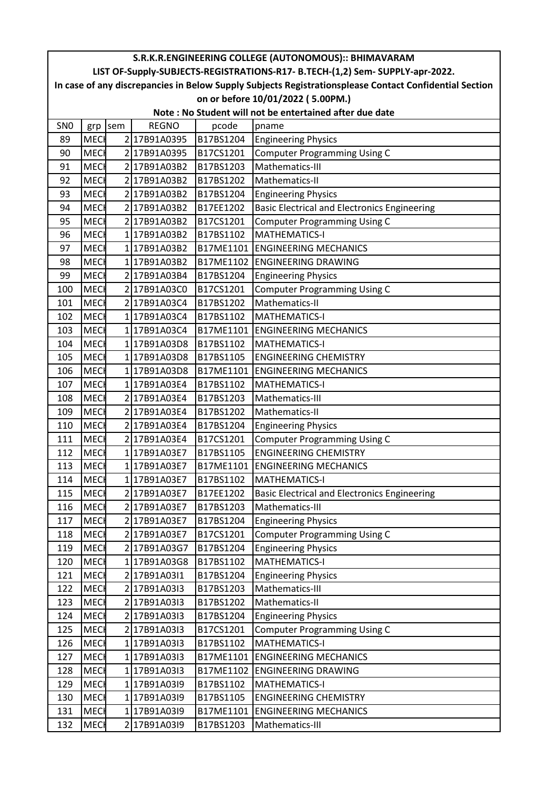| S.R.K.R.ENGINEERING COLLEGE (AUTONOMOUS):: BHIMAVARAM   |                                                                                                        |     |              |           |                                                                               |  |  |  |  |  |
|---------------------------------------------------------|--------------------------------------------------------------------------------------------------------|-----|--------------|-----------|-------------------------------------------------------------------------------|--|--|--|--|--|
|                                                         |                                                                                                        |     |              |           | LIST OF-Supply-SUBJECTS-REGISTRATIONS-R17- B.TECH-(1,2) Sem- SUPPLY-apr-2022. |  |  |  |  |  |
|                                                         | In case of any discrepancies in Below Supply Subjects Registrationsplease Contact Confidential Section |     |              |           |                                                                               |  |  |  |  |  |
|                                                         | on or before 10/01/2022 (5.00PM.)                                                                      |     |              |           |                                                                               |  |  |  |  |  |
| Note: No Student will not be entertained after due date |                                                                                                        |     |              |           |                                                                               |  |  |  |  |  |
| SN <sub>0</sub>                                         | grp                                                                                                    | sem | <b>REGNO</b> | pcode     | pname                                                                         |  |  |  |  |  |
| 89                                                      | <b>MECH</b>                                                                                            |     | 2 17B91A0395 | B17BS1204 | <b>Engineering Physics</b>                                                    |  |  |  |  |  |
| 90                                                      | <b>MECH</b>                                                                                            |     | 217B91A0395  | B17CS1201 | <b>Computer Programming Using C</b>                                           |  |  |  |  |  |
| 91                                                      | <b>MECH</b>                                                                                            |     | 2 17B91A03B2 | B17BS1203 | Mathematics-III                                                               |  |  |  |  |  |
| 92                                                      | <b>MECI</b>                                                                                            |     | 2 17B91A03B2 | B17BS1202 | Mathematics-II                                                                |  |  |  |  |  |
| 93                                                      | <b>MECH</b>                                                                                            |     | 217B91A03B2  | B17BS1204 | <b>Engineering Physics</b>                                                    |  |  |  |  |  |
| 94                                                      | <b>MECI</b>                                                                                            |     | 217B91A03B2  | B17EE1202 | <b>Basic Electrical and Electronics Engineering</b>                           |  |  |  |  |  |
| 95                                                      | <b>MECH</b>                                                                                            |     | 2 17B91A03B2 | B17CS1201 | <b>Computer Programming Using C</b>                                           |  |  |  |  |  |
| 96                                                      | <b>MECH</b>                                                                                            |     | 117B91A03B2  | B17BS1102 | <b>MATHEMATICS-I</b>                                                          |  |  |  |  |  |
| 97                                                      | <b>MECH</b>                                                                                            |     | 117B91A03B2  | B17ME1101 | <b>ENGINEERING MECHANICS</b>                                                  |  |  |  |  |  |
| 98                                                      | <b>MEC</b>                                                                                             |     | 117B91A03B2  | B17ME1102 | <b>ENGINEERING DRAWING</b>                                                    |  |  |  |  |  |
| 99                                                      | <b>MEC</b>                                                                                             |     | 2 17B91A03B4 | B17BS1204 | <b>Engineering Physics</b>                                                    |  |  |  |  |  |
| 100                                                     | <b>MECH</b>                                                                                            |     | 2 17B91A03C0 | B17CS1201 | <b>Computer Programming Using C</b>                                           |  |  |  |  |  |
| 101                                                     | <b>MECI</b>                                                                                            |     | 2 17B91A03C4 | B17BS1202 | Mathematics-II                                                                |  |  |  |  |  |
| 102                                                     | <b>MECH</b>                                                                                            |     | 117B91A03C4  | B17BS1102 | <b>MATHEMATICS-I</b>                                                          |  |  |  |  |  |
| 103                                                     | <b>MEC</b>                                                                                             |     | 117B91A03C4  | B17ME1101 | <b>ENGINEERING MECHANICS</b>                                                  |  |  |  |  |  |
| 104                                                     | <b>MECI</b>                                                                                            |     | 117B91A03D8  | B17BS1102 | <b>MATHEMATICS-I</b>                                                          |  |  |  |  |  |
| 105                                                     | <b>MEC</b>                                                                                             |     | 117B91A03D8  | B17BS1105 | <b>ENGINEERING CHEMISTRY</b>                                                  |  |  |  |  |  |
| 106                                                     | MECI                                                                                                   |     | 117B91A03D8  | B17ME1101 | <b>ENGINEERING MECHANICS</b>                                                  |  |  |  |  |  |
| 107                                                     | <b>MECH</b>                                                                                            |     | 117B91A03E4  | B17BS1102 | <b>MATHEMATICS-I</b>                                                          |  |  |  |  |  |
| 108                                                     | <b>MECH</b>                                                                                            |     | 2 17B91A03E4 | B17BS1203 | Mathematics-III                                                               |  |  |  |  |  |
| 109                                                     | <b>MECH</b>                                                                                            |     | 2 17B91A03E4 | B17BS1202 | Mathematics-II                                                                |  |  |  |  |  |
| 110                                                     | <b>MECH</b>                                                                                            |     | 2 17B91A03E4 | B17BS1204 | <b>Engineering Physics</b>                                                    |  |  |  |  |  |
| 111                                                     | MECI                                                                                                   |     | 2 17B91A03E4 | B17CS1201 | <b>Computer Programming Using C</b>                                           |  |  |  |  |  |
| 112                                                     | <b>MEC</b>                                                                                             |     | 117B91A03E7  | B17BS1105 | <b>ENGINEERING CHEMISTRY</b>                                                  |  |  |  |  |  |
| 113                                                     | <b>MECH</b>                                                                                            |     | 117B91A03E7  | B17ME1101 | <b>ENGINEERING MECHANICS</b>                                                  |  |  |  |  |  |
| 114                                                     | MECI                                                                                                   |     | 117B91A03E7  | B17BS1102 | <b>MATHEMATICS-I</b>                                                          |  |  |  |  |  |
| 115                                                     | <b>MEC</b>                                                                                             |     | 217B91A03E7  | B17EE1202 | <b>Basic Electrical and Electronics Engineering</b>                           |  |  |  |  |  |
| 116                                                     | <b>MEC</b>                                                                                             |     | 2 17B91A03E7 | B17BS1203 | Mathematics-III                                                               |  |  |  |  |  |
| 117                                                     | <b>MECH</b>                                                                                            |     | 2 17B91A03E7 | B17BS1204 | <b>Engineering Physics</b>                                                    |  |  |  |  |  |
| 118                                                     | <b>MECH</b>                                                                                            |     | 2 17B91A03E7 | B17CS1201 | <b>Computer Programming Using C</b>                                           |  |  |  |  |  |
| 119                                                     | <b>MECH</b>                                                                                            |     | 2 17B91A03G7 | B17BS1204 | <b>Engineering Physics</b>                                                    |  |  |  |  |  |
| 120                                                     | <b>MEC</b>                                                                                             |     | 117B91A03G8  | B17BS1102 | <b>MATHEMATICS-I</b>                                                          |  |  |  |  |  |
| 121                                                     | <b>MEC</b>                                                                                             |     | 2 17B91A0311 | B17BS1204 | <b>Engineering Physics</b>                                                    |  |  |  |  |  |
| 122                                                     | <b>MECH</b>                                                                                            |     | 217B91A03I3  | B17BS1203 | Mathematics-III                                                               |  |  |  |  |  |
| 123                                                     | <b>MECH</b>                                                                                            |     | 2 17B91A0313 | B17BS1202 | Mathematics-II                                                                |  |  |  |  |  |
| 124                                                     | <b>MECH</b>                                                                                            |     | 217B91A03I3  | B17BS1204 | <b>Engineering Physics</b>                                                    |  |  |  |  |  |
| 125                                                     | <b>MECH</b>                                                                                            |     | 2 17B91A03I3 | B17CS1201 | <b>Computer Programming Using C</b>                                           |  |  |  |  |  |
| 126                                                     | <b>MECH</b>                                                                                            |     | 117B91A03I3  | B17BS1102 | <b>MATHEMATICS-I</b>                                                          |  |  |  |  |  |
| 127                                                     | <b>MECH</b>                                                                                            |     | 117B91A03I3  | B17ME1101 | <b>ENGINEERING MECHANICS</b>                                                  |  |  |  |  |  |
| 128                                                     | <b>MEC</b>                                                                                             |     | 117B91A03I3  | B17ME1102 | <b>ENGINEERING DRAWING</b>                                                    |  |  |  |  |  |
| 129                                                     | <b>MEC</b>                                                                                             |     | 1 17B91A03I9 | B17BS1102 | <b>MATHEMATICS-I</b>                                                          |  |  |  |  |  |
| 130                                                     | <b>MEC</b>                                                                                             |     | 117B91A03I9  | B17BS1105 | <b>ENGINEERING CHEMISTRY</b>                                                  |  |  |  |  |  |
| 131                                                     | <b>MEC</b>                                                                                             |     | 117B91A03I9  | B17ME1101 | <b>ENGINEERING MECHANICS</b>                                                  |  |  |  |  |  |
| 132                                                     | <b>MECH</b>                                                                                            |     | 2 17B91A03I9 | B17BS1203 | Mathematics-III                                                               |  |  |  |  |  |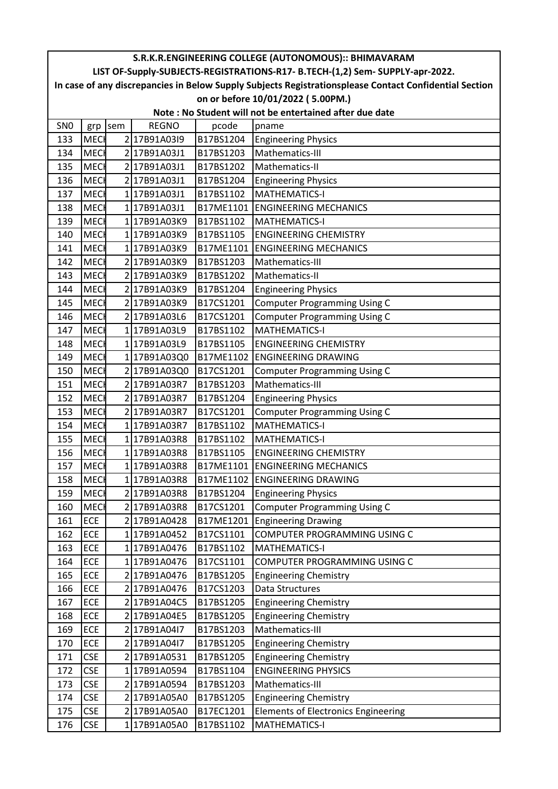| S.R.K.R.ENGINEERING COLLEGE (AUTONOMOUS):: BHIMAVARAM   |                                                                                                        |     |              |           |                                                                               |  |  |  |  |
|---------------------------------------------------------|--------------------------------------------------------------------------------------------------------|-----|--------------|-----------|-------------------------------------------------------------------------------|--|--|--|--|
|                                                         |                                                                                                        |     |              |           | LIST OF-Supply-SUBJECTS-REGISTRATIONS-R17- B.TECH-(1,2) Sem- SUPPLY-apr-2022. |  |  |  |  |
|                                                         | In case of any discrepancies in Below Supply Subjects Registrationsplease Contact Confidential Section |     |              |           |                                                                               |  |  |  |  |
| on or before 10/01/2022 (5.00PM.)                       |                                                                                                        |     |              |           |                                                                               |  |  |  |  |
| Note: No Student will not be entertained after due date |                                                                                                        |     |              |           |                                                                               |  |  |  |  |
| SN <sub>0</sub>                                         | grp                                                                                                    | sem | <b>REGNO</b> | pcode     | pname                                                                         |  |  |  |  |
| 133                                                     | <b>MECH</b>                                                                                            |     | 2 17B91A03I9 | B17BS1204 | <b>Engineering Physics</b>                                                    |  |  |  |  |
| 134                                                     | <b>MECH</b>                                                                                            |     | 2 17B91A03J1 | B17BS1203 | Mathematics-III                                                               |  |  |  |  |
| 135                                                     | <b>MECH</b>                                                                                            |     | 2 17B91A03J1 | B17BS1202 | Mathematics-II                                                                |  |  |  |  |
| 136                                                     | <b>MECI</b>                                                                                            |     | 2 17B91A03J1 | B17BS1204 | <b>Engineering Physics</b>                                                    |  |  |  |  |
| 137                                                     | <b>MECH</b>                                                                                            |     | 1 17B91A03J1 | B17BS1102 | <b>MATHEMATICS-I</b>                                                          |  |  |  |  |
| 138                                                     | <b>MEC</b>                                                                                             |     | 1 17B91A03J1 | B17ME1101 | <b>ENGINEERING MECHANICS</b>                                                  |  |  |  |  |
| 139                                                     | <b>MECH</b>                                                                                            |     | 117B91A03K9  | B17BS1102 | <b>MATHEMATICS-I</b>                                                          |  |  |  |  |
| 140                                                     | <b>MECH</b>                                                                                            |     | 117B91A03K9  | B17BS1105 | <b>ENGINEERING CHEMISTRY</b>                                                  |  |  |  |  |
| 141                                                     | <b>MECH</b>                                                                                            |     | 117B91A03K9  | B17ME1101 | <b>ENGINEERING MECHANICS</b>                                                  |  |  |  |  |
| 142                                                     | <b>MECH</b>                                                                                            |     | 2 17B91A03K9 | B17BS1203 | Mathematics-III                                                               |  |  |  |  |
| 143                                                     | <b>MEC</b>                                                                                             |     | 2 17B91A03K9 | B17BS1202 | Mathematics-II                                                                |  |  |  |  |
| 144                                                     | <b>MEC</b>                                                                                             |     | 217B91A03K9  | B17BS1204 | <b>Engineering Physics</b>                                                    |  |  |  |  |
| 145                                                     | MECH                                                                                                   |     | 2 17B91A03K9 | B17CS1201 | <b>Computer Programming Using C</b>                                           |  |  |  |  |
| 146                                                     | <b>MECH</b>                                                                                            |     | 2 17B91A03L6 | B17CS1201 | <b>Computer Programming Using C</b>                                           |  |  |  |  |
| 147                                                     | <b>MECH</b>                                                                                            |     | 1 17B91A03L9 | B17BS1102 | <b>MATHEMATICS-I</b>                                                          |  |  |  |  |
| 148                                                     | <b>MECI</b>                                                                                            |     | 117B91A03L9  | B17BS1105 | <b>ENGINEERING CHEMISTRY</b>                                                  |  |  |  |  |
| 149                                                     | <b>MECH</b>                                                                                            |     | 117B91A03Q0  | B17ME1102 | <b>ENGINEERING DRAWING</b>                                                    |  |  |  |  |
| 150                                                     | <b>MEC</b>                                                                                             |     | 2 17B91A03Q0 | B17CS1201 | <b>Computer Programming Using C</b>                                           |  |  |  |  |
| 151                                                     | <b>MECH</b>                                                                                            |     | 2 17B91A03R7 | B17BS1203 | Mathematics-III                                                               |  |  |  |  |
| 152                                                     | <b>MECH</b>                                                                                            |     | 217B91A03R7  | B17BS1204 | <b>Engineering Physics</b>                                                    |  |  |  |  |
| 153                                                     | <b>MECH</b>                                                                                            |     | 2 17B91A03R7 | B17CS1201 | <b>Computer Programming Using C</b>                                           |  |  |  |  |
| 154                                                     | MECH                                                                                                   |     | 117B91A03R7  | B17BS1102 | <b>MATHEMATICS-I</b>                                                          |  |  |  |  |
| 155                                                     | <b>MEC</b>                                                                                             |     | 117B91A03R8  | B17BS1102 | <b>MATHEMATICS-I</b>                                                          |  |  |  |  |
| 156                                                     | <b>MEC</b>                                                                                             |     | 117B91A03R8  | B17BS1105 | <b>ENGINEERING CHEMISTRY</b>                                                  |  |  |  |  |
| 157                                                     | <b>MECH</b>                                                                                            |     | 117B91A03R8  | B17ME1101 | <b>ENGINEERING MECHANICS</b>                                                  |  |  |  |  |
| 158                                                     | <b>MECH</b>                                                                                            |     | 117B91A03R8  |           | B17ME1102 ENGINEERING DRAWING                                                 |  |  |  |  |
| 159                                                     | <b>MECH</b>                                                                                            |     | 217B91A03R8  | B17BS1204 | <b>Engineering Physics</b>                                                    |  |  |  |  |
| 160                                                     | <b>MECH</b>                                                                                            |     | 2 17B91A03R8 | B17CS1201 | <b>Computer Programming Using C</b>                                           |  |  |  |  |
| 161                                                     | ECE                                                                                                    |     | 2 17B91A0428 | B17ME1201 | <b>Engineering Drawing</b>                                                    |  |  |  |  |
| 162                                                     | ECE                                                                                                    |     | 1 17B91A0452 | B17CS1101 | COMPUTER PROGRAMMING USING C                                                  |  |  |  |  |
| 163                                                     | ECE                                                                                                    |     | 1 17B91A0476 | B17BS1102 | <b>MATHEMATICS-I</b>                                                          |  |  |  |  |
| 164                                                     | ECE                                                                                                    |     | 117B91A0476  | B17CS1101 | COMPUTER PROGRAMMING USING C                                                  |  |  |  |  |
| 165                                                     | ECE                                                                                                    |     | 217B91A0476  | B17BS1205 | <b>Engineering Chemistry</b>                                                  |  |  |  |  |
| 166                                                     | ECE                                                                                                    |     | 2 17B91A0476 | B17CS1203 | Data Structures                                                               |  |  |  |  |
| 167                                                     | ECE                                                                                                    |     | 2 17B91A04C5 | B17BS1205 | <b>Engineering Chemistry</b>                                                  |  |  |  |  |
| 168                                                     | ECE                                                                                                    |     | 2 17B91A04E5 | B17BS1205 | <b>Engineering Chemistry</b>                                                  |  |  |  |  |
| 169                                                     | ECE                                                                                                    |     | 2 17B91A04I7 | B17BS1203 | Mathematics-III                                                               |  |  |  |  |
| 170                                                     | ECE                                                                                                    |     | 2 17B91A04I7 | B17BS1205 | <b>Engineering Chemistry</b>                                                  |  |  |  |  |
| 171                                                     | <b>CSE</b>                                                                                             |     | 2 17B91A0531 | B17BS1205 | <b>Engineering Chemistry</b>                                                  |  |  |  |  |
| 172                                                     | <b>CSE</b>                                                                                             |     | 117B91A0594  | B17BS1104 | <b>ENGINEERING PHYSICS</b>                                                    |  |  |  |  |
| 173                                                     | <b>CSE</b>                                                                                             |     | 2 17B91A0594 | B17BS1203 | Mathematics-III                                                               |  |  |  |  |
| 174                                                     | <b>CSE</b>                                                                                             |     | 2 17B91A05A0 | B17BS1205 | <b>Engineering Chemistry</b>                                                  |  |  |  |  |
| 175                                                     | <b>CSE</b>                                                                                             |     | 2 17B91A05A0 | B17EC1201 | <b>Elements of Electronics Engineering</b>                                    |  |  |  |  |
| 176                                                     | <b>CSE</b>                                                                                             |     | 117B91A05A0  | B17BS1102 | MATHEMATICS-I                                                                 |  |  |  |  |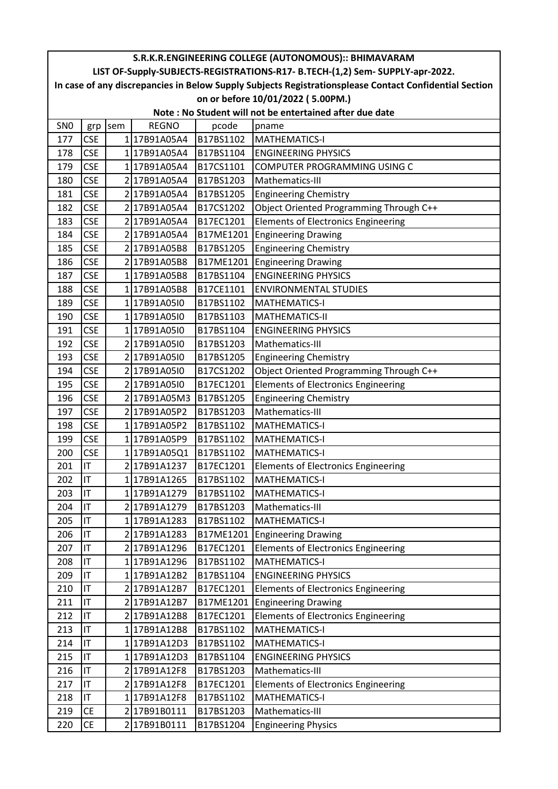| S.R.K.R.ENGINEERING COLLEGE (AUTONOMOUS):: BHIMAVARAM   |            |     |              |           |                                                                                                        |  |  |  |  |
|---------------------------------------------------------|------------|-----|--------------|-----------|--------------------------------------------------------------------------------------------------------|--|--|--|--|
|                                                         |            |     |              |           | LIST OF-Supply-SUBJECTS-REGISTRATIONS-R17- B.TECH-(1,2) Sem- SUPPLY-apr-2022.                          |  |  |  |  |
|                                                         |            |     |              |           | In case of any discrepancies in Below Supply Subjects Registrationsplease Contact Confidential Section |  |  |  |  |
| on or before 10/01/2022 (5.00PM.)                       |            |     |              |           |                                                                                                        |  |  |  |  |
| Note: No Student will not be entertained after due date |            |     |              |           |                                                                                                        |  |  |  |  |
| SN <sub>0</sub>                                         | grp        | sem | <b>REGNO</b> | pcode     | pname                                                                                                  |  |  |  |  |
| 177                                                     | <b>CSE</b> |     | 117B91A05A4  | B17BS1102 | <b>MATHEMATICS-I</b>                                                                                   |  |  |  |  |
| 178                                                     | <b>CSE</b> |     | 117B91A05A4  | B17BS1104 | <b>ENGINEERING PHYSICS</b>                                                                             |  |  |  |  |
| 179                                                     | <b>CSE</b> |     | 117B91A05A4  | B17CS1101 | COMPUTER PROGRAMMING USING C                                                                           |  |  |  |  |
| 180                                                     | <b>CSE</b> |     | 2 17B91A05A4 | B17BS1203 | Mathematics-III                                                                                        |  |  |  |  |
| 181                                                     | <b>CSE</b> |     | 217B91A05A4  | B17BS1205 | <b>Engineering Chemistry</b>                                                                           |  |  |  |  |
| 182                                                     | <b>CSE</b> |     | 2 17B91A05A4 | B17CS1202 | Object Oriented Programming Through C++                                                                |  |  |  |  |
| 183                                                     | <b>CSE</b> |     | 2 17B91A05A4 | B17EC1201 | <b>Elements of Electronics Engineering</b>                                                             |  |  |  |  |
| 184                                                     | <b>CSE</b> |     | 2 17B91A05A4 | B17ME1201 | <b>Engineering Drawing</b>                                                                             |  |  |  |  |
| 185                                                     | <b>CSE</b> |     | 2 17B91A05B8 | B17BS1205 | <b>Engineering Chemistry</b>                                                                           |  |  |  |  |
| 186                                                     | <b>CSE</b> |     | 217B91A05B8  |           | B17ME1201 Engineering Drawing                                                                          |  |  |  |  |
| 187                                                     | <b>CSE</b> |     | 117B91A05B8  | B17BS1104 | <b>ENGINEERING PHYSICS</b>                                                                             |  |  |  |  |
| 188                                                     | <b>CSE</b> |     | 117B91A05B8  | B17CE1101 | <b>ENVIRONMENTAL STUDIES</b>                                                                           |  |  |  |  |
| 189                                                     | <b>CSE</b> |     | 117B91A05I0  | B17BS1102 | <b>MATHEMATICS-I</b>                                                                                   |  |  |  |  |
| 190                                                     | <b>CSE</b> |     | 117B91A05I0  | B17BS1103 | <b>MATHEMATICS-II</b>                                                                                  |  |  |  |  |
| 191                                                     | <b>CSE</b> |     | 1 17B91A05I0 | B17BS1104 | <b>ENGINEERING PHYSICS</b>                                                                             |  |  |  |  |
| 192                                                     | <b>CSE</b> |     | 2 17B91A05I0 | B17BS1203 | Mathematics-III                                                                                        |  |  |  |  |
| 193                                                     | <b>CSE</b> |     | 2 17B91A05I0 | B17BS1205 | <b>Engineering Chemistry</b>                                                                           |  |  |  |  |
| 194                                                     | <b>CSE</b> |     | 2 17B91A05I0 | B17CS1202 | Object Oriented Programming Through C++                                                                |  |  |  |  |
| 195                                                     | <b>CSE</b> |     | 2 17B91A05I0 | B17EC1201 | <b>Elements of Electronics Engineering</b>                                                             |  |  |  |  |
| 196                                                     | <b>CSE</b> |     | 2 17B91A05M3 | B17BS1205 | <b>Engineering Chemistry</b>                                                                           |  |  |  |  |
| 197                                                     | <b>CSE</b> |     | 2 17B91A05P2 | B17BS1203 | Mathematics-III                                                                                        |  |  |  |  |
| 198                                                     | <b>CSE</b> |     | 117B91A05P2  | B17BS1102 | <b>MATHEMATICS-I</b>                                                                                   |  |  |  |  |
| 199                                                     | <b>CSE</b> |     | 117B91A05P9  | B17BS1102 | <b>MATHEMATICS-I</b>                                                                                   |  |  |  |  |
| 200                                                     | <b>CSE</b> |     | 117B91A05Q1  | B17BS1102 | <b>MATHEMATICS-I</b>                                                                                   |  |  |  |  |
| 201                                                     | İІT        |     | 217B91A1237  | B17EC1201 | <b>Elements of Electronics Engineering</b>                                                             |  |  |  |  |
| 202                                                     | İІТ        |     | 117B91A1265  | B17BS1102 | <b>MATHEMATICS-I</b>                                                                                   |  |  |  |  |
| 203                                                     | IT         |     | 117B91A1279  | B17BS1102 | <b>MATHEMATICS-I</b>                                                                                   |  |  |  |  |
| 204                                                     | IT         |     | 2 17B91A1279 | B17BS1203 | Mathematics-III                                                                                        |  |  |  |  |
| 205                                                     | IT         |     | 1 17B91A1283 | B17BS1102 | <b>MATHEMATICS-I</b>                                                                                   |  |  |  |  |
| 206                                                     | IT         |     | 217B91A1283  | B17ME1201 | <b>Engineering Drawing</b>                                                                             |  |  |  |  |
| 207                                                     | IT         |     | 217B91A1296  | B17EC1201 | <b>Elements of Electronics Engineering</b>                                                             |  |  |  |  |
| 208                                                     | IT         |     | 117B91A1296  | B17BS1102 | <b>MATHEMATICS-I</b>                                                                                   |  |  |  |  |
| 209                                                     | IT         |     | 117B91A12B2  | B17BS1104 | <b>ENGINEERING PHYSICS</b>                                                                             |  |  |  |  |
| 210                                                     | IT         |     | 217B91A12B7  | B17EC1201 | <b>Elements of Electronics Engineering</b>                                                             |  |  |  |  |
| 211                                                     | IT         |     | 217B91A12B7  | B17ME1201 | <b>Engineering Drawing</b>                                                                             |  |  |  |  |
| 212                                                     | IT         |     | 217B91A12B8  | B17EC1201 | <b>Elements of Electronics Engineering</b>                                                             |  |  |  |  |
| 213                                                     | IT         |     | 117B91A12B8  | B17BS1102 | MATHEMATICS-I                                                                                          |  |  |  |  |
| 214                                                     | IT         |     | 117B91A12D3  | B17BS1102 | <b>MATHEMATICS-I</b>                                                                                   |  |  |  |  |
| 215                                                     | IT         |     | 117B91A12D3  | B17BS1104 | <b>ENGINEERING PHYSICS</b>                                                                             |  |  |  |  |
| 216                                                     | IT         |     | 2 17B91A12F8 | B17BS1203 | Mathematics-III                                                                                        |  |  |  |  |
| 217                                                     | IT         |     | 2 17B91A12F8 | B17EC1201 | <b>Elements of Electronics Engineering</b>                                                             |  |  |  |  |
| 218                                                     | IT         |     | 117B91A12F8  | B17BS1102 | <b>MATHEMATICS-I</b>                                                                                   |  |  |  |  |
| 219                                                     | <b>CE</b>  |     | 2 17B91B0111 | B17BS1203 | Mathematics-III                                                                                        |  |  |  |  |
| 220                                                     | <b>CE</b>  |     | 2 17B91B0111 | B17BS1204 | <b>Engineering Physics</b>                                                                             |  |  |  |  |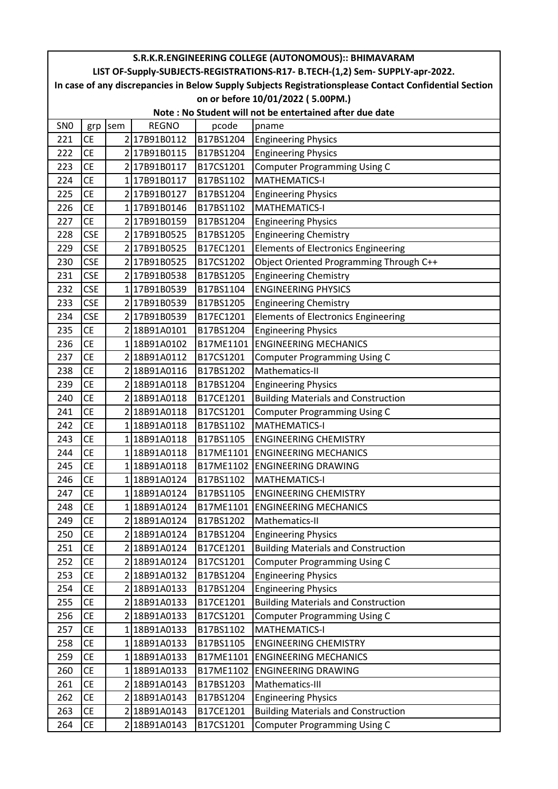| S.R.K.R.ENGINEERING COLLEGE (AUTONOMOUS):: BHIMAVARAM |                                                         |     |              |           |                                                                                                        |  |  |  |  |  |
|-------------------------------------------------------|---------------------------------------------------------|-----|--------------|-----------|--------------------------------------------------------------------------------------------------------|--|--|--|--|--|
|                                                       |                                                         |     |              |           | LIST OF-Supply-SUBJECTS-REGISTRATIONS-R17- B.TECH-(1,2) Sem- SUPPLY-apr-2022.                          |  |  |  |  |  |
|                                                       |                                                         |     |              |           | In case of any discrepancies in Below Supply Subjects Registrationsplease Contact Confidential Section |  |  |  |  |  |
| on or before 10/01/2022 (5.00PM.)                     |                                                         |     |              |           |                                                                                                        |  |  |  |  |  |
|                                                       | Note: No Student will not be entertained after due date |     |              |           |                                                                                                        |  |  |  |  |  |
| SN <sub>0</sub>                                       | grp                                                     | sem | <b>REGNO</b> | pcode     | pname                                                                                                  |  |  |  |  |  |
| 221                                                   | <b>CE</b>                                               |     | 217B91B0112  | B17BS1204 | <b>Engineering Physics</b>                                                                             |  |  |  |  |  |
| 222                                                   | <b>CE</b>                                               |     | 2 17B91B0115 | B17BS1204 | <b>Engineering Physics</b>                                                                             |  |  |  |  |  |
| 223                                                   | <b>CE</b>                                               |     | 2 17B91B0117 | B17CS1201 | <b>Computer Programming Using C</b>                                                                    |  |  |  |  |  |
| 224                                                   | <b>CE</b>                                               |     | 1 17B91B0117 | B17BS1102 | <b>MATHEMATICS-I</b>                                                                                   |  |  |  |  |  |
| 225                                                   | <b>CE</b>                                               |     | 217B91B0127  | B17BS1204 | <b>Engineering Physics</b>                                                                             |  |  |  |  |  |
| 226                                                   | <b>CE</b>                                               |     | 117B91B0146  | B17BS1102 | <b>MATHEMATICS-I</b>                                                                                   |  |  |  |  |  |
| 227                                                   | <b>CE</b>                                               |     | 217B91B0159  | B17BS1204 | <b>Engineering Physics</b>                                                                             |  |  |  |  |  |
| 228                                                   | <b>CSE</b>                                              |     | 2 17B91B0525 | B17BS1205 | <b>Engineering Chemistry</b>                                                                           |  |  |  |  |  |
| 229                                                   | <b>CSE</b>                                              |     | 217B91B0525  | B17EC1201 | Elements of Electronics Engineering                                                                    |  |  |  |  |  |
| 230                                                   | <b>CSE</b>                                              |     | 217B91B0525  | B17CS1202 | Object Oriented Programming Through C++                                                                |  |  |  |  |  |
| 231                                                   | <b>CSE</b>                                              |     | 2 17B91B0538 | B17BS1205 | <b>Engineering Chemistry</b>                                                                           |  |  |  |  |  |
| 232                                                   | <b>CSE</b>                                              |     | 117B91B0539  | B17BS1104 | <b>ENGINEERING PHYSICS</b>                                                                             |  |  |  |  |  |
| 233                                                   | <b>CSE</b>                                              |     | 217B91B0539  | B17BS1205 | <b>Engineering Chemistry</b>                                                                           |  |  |  |  |  |
| 234                                                   | <b>CSE</b>                                              |     | 217B91B0539  | B17EC1201 | Elements of Electronics Engineering                                                                    |  |  |  |  |  |
| 235                                                   | <b>CE</b>                                               |     | 2 18B91A0101 | B17BS1204 | <b>Engineering Physics</b>                                                                             |  |  |  |  |  |
| 236                                                   | <b>CE</b>                                               |     | 118B91A0102  | B17ME1101 | <b>ENGINEERING MECHANICS</b>                                                                           |  |  |  |  |  |
| 237                                                   | <b>CE</b>                                               |     | 218B91A0112  | B17CS1201 | <b>Computer Programming Using C</b>                                                                    |  |  |  |  |  |
| 238                                                   | <b>CE</b>                                               |     | 2 18B91A0116 | B17BS1202 | Mathematics-II                                                                                         |  |  |  |  |  |
| 239                                                   | <b>CE</b>                                               |     | 2 18B91A0118 | B17BS1204 | <b>Engineering Physics</b>                                                                             |  |  |  |  |  |
| 240                                                   | <b>CE</b>                                               |     | 218B91A0118  | B17CE1201 | <b>Building Materials and Construction</b>                                                             |  |  |  |  |  |
| 241                                                   | <b>CE</b>                                               |     | 2 18B91A0118 | B17CS1201 | <b>Computer Programming Using C</b>                                                                    |  |  |  |  |  |
| 242                                                   | <b>CE</b>                                               |     | 118B91A0118  | B17BS1102 | <b>MATHEMATICS-I</b>                                                                                   |  |  |  |  |  |
| 243                                                   | <b>CE</b>                                               |     | 1 18B91A0118 | B17BS1105 | <b>ENGINEERING CHEMISTRY</b>                                                                           |  |  |  |  |  |
| 244                                                   | <b>CE</b>                                               |     | 118B91A0118  |           | <b>B17ME1101 ENGINEERING MECHANICS</b>                                                                 |  |  |  |  |  |
| 245                                                   | <b>CE</b>                                               |     | 118B91A0118  |           | B17ME1102 ENGINEERING DRAWING                                                                          |  |  |  |  |  |
| 246                                                   | <b>CE</b>                                               |     | 1 18B91A0124 | B17BS1102 | MATHEMATICS-I                                                                                          |  |  |  |  |  |
| 247                                                   | <b>CE</b>                                               |     | 118B91A0124  | B17BS1105 | <b>ENGINEERING CHEMISTRY</b>                                                                           |  |  |  |  |  |
| 248                                                   | <b>CE</b>                                               |     | 118B91A0124  | B17ME1101 | <b>ENGINEERING MECHANICS</b>                                                                           |  |  |  |  |  |
| 249                                                   | <b>CE</b>                                               |     | 2 18B91A0124 | B17BS1202 | Mathematics-II                                                                                         |  |  |  |  |  |
| 250                                                   | <b>CE</b>                                               |     | 2 18B91A0124 | B17BS1204 | <b>Engineering Physics</b>                                                                             |  |  |  |  |  |
| 251                                                   | <b>CE</b>                                               |     | 218B91A0124  | B17CE1201 | <b>Building Materials and Construction</b>                                                             |  |  |  |  |  |
| 252                                                   | <b>CE</b>                                               |     | 218B91A0124  | B17CS1201 | <b>Computer Programming Using C</b>                                                                    |  |  |  |  |  |
| 253                                                   | <b>CE</b>                                               |     | 2 18B91A0132 | B17BS1204 | <b>Engineering Physics</b>                                                                             |  |  |  |  |  |
| 254                                                   | <b>CE</b>                                               |     | 218B91A0133  | B17BS1204 | <b>Engineering Physics</b>                                                                             |  |  |  |  |  |
| 255                                                   | <b>CE</b>                                               |     | 2 18B91A0133 | B17CE1201 | <b>Building Materials and Construction</b>                                                             |  |  |  |  |  |
| 256                                                   | <b>CE</b>                                               |     | 2 18B91A0133 | B17CS1201 | <b>Computer Programming Using C</b>                                                                    |  |  |  |  |  |
| 257                                                   | <b>CE</b>                                               |     | 118B91A0133  | B17BS1102 | <b>MATHEMATICS-I</b>                                                                                   |  |  |  |  |  |
| 258                                                   | <b>CE</b>                                               |     | 1 18B91A0133 | B17BS1105 | <b>ENGINEERING CHEMISTRY</b>                                                                           |  |  |  |  |  |
| 259                                                   | <b>CE</b>                                               |     | 1 18B91A0133 | B17ME1101 | <b>ENGINEERING MECHANICS</b>                                                                           |  |  |  |  |  |
| 260                                                   | <b>CE</b>                                               |     | 1 18B91A0133 | B17ME1102 | <b>ENGINEERING DRAWING</b>                                                                             |  |  |  |  |  |
| 261                                                   | <b>CE</b>                                               |     | 2 18B91A0143 | B17BS1203 | Mathematics-III                                                                                        |  |  |  |  |  |
| 262                                                   | <b>CE</b>                                               |     | 218B91A0143  | B17BS1204 | <b>Engineering Physics</b>                                                                             |  |  |  |  |  |
| 263                                                   | <b>CE</b>                                               |     | 2 18B91A0143 | B17CE1201 | <b>Building Materials and Construction</b>                                                             |  |  |  |  |  |
| 264                                                   | <b>CE</b>                                               |     | 2 18B91A0143 | B17CS1201 | <b>Computer Programming Using C</b>                                                                    |  |  |  |  |  |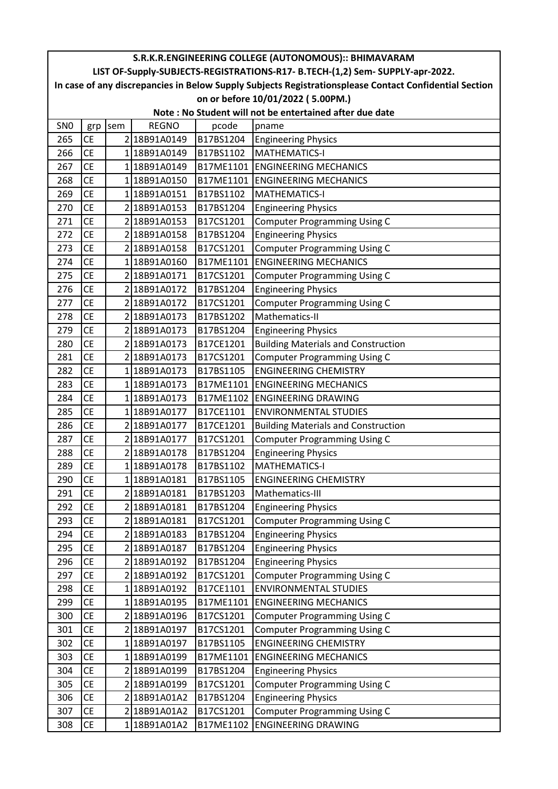| S.R.K.R.ENGINEERING COLLEGE (AUTONOMOUS):: BHIMAVARAM   |           |     |              |           |                                                                                                        |  |  |  |  |
|---------------------------------------------------------|-----------|-----|--------------|-----------|--------------------------------------------------------------------------------------------------------|--|--|--|--|
|                                                         |           |     |              |           | LIST OF-Supply-SUBJECTS-REGISTRATIONS-R17- B.TECH-(1,2) Sem- SUPPLY-apr-2022.                          |  |  |  |  |
|                                                         |           |     |              |           | In case of any discrepancies in Below Supply Subjects Registrationsplease Contact Confidential Section |  |  |  |  |
| on or before 10/01/2022 (5.00PM.)                       |           |     |              |           |                                                                                                        |  |  |  |  |
| Note: No Student will not be entertained after due date |           |     |              |           |                                                                                                        |  |  |  |  |
| SN <sub>0</sub>                                         | grp       | sem | <b>REGNO</b> | pcode     | pname                                                                                                  |  |  |  |  |
| 265                                                     | <b>CE</b> |     | 2 18B91A0149 | B17BS1204 | <b>Engineering Physics</b>                                                                             |  |  |  |  |
| 266                                                     | <b>CE</b> |     | 1 18B91A0149 | B17BS1102 | MATHEMATICS-I                                                                                          |  |  |  |  |
| 267                                                     | <b>CE</b> |     | 118B91A0149  |           | <b>B17ME1101 ENGINEERING MECHANICS</b>                                                                 |  |  |  |  |
| 268                                                     | <b>CE</b> |     | 1 18B91A0150 |           | B17ME1101 ENGINEERING MECHANICS                                                                        |  |  |  |  |
| 269                                                     | <b>CE</b> |     | 1 18B91A0151 | B17BS1102 | <b>MATHEMATICS-I</b>                                                                                   |  |  |  |  |
| 270                                                     | <b>CE</b> |     | 2 18B91A0153 | B17BS1204 | <b>Engineering Physics</b>                                                                             |  |  |  |  |
| 271                                                     | <b>CE</b> |     | 2 18B91A0153 | B17CS1201 | <b>Computer Programming Using C</b>                                                                    |  |  |  |  |
| 272                                                     | <b>CE</b> |     | 2 18B91A0158 | B17BS1204 | <b>Engineering Physics</b>                                                                             |  |  |  |  |
| 273                                                     | <b>CE</b> |     | 2 18B91A0158 | B17CS1201 | <b>Computer Programming Using C</b>                                                                    |  |  |  |  |
| 274                                                     | <b>CE</b> |     | 118B91A0160  | B17ME1101 | <b>ENGINEERING MECHANICS</b>                                                                           |  |  |  |  |
| 275                                                     | <b>CE</b> |     | 2 18B91A0171 | B17CS1201 | <b>Computer Programming Using C</b>                                                                    |  |  |  |  |
| 276                                                     | <b>CE</b> |     | 2 18B91A0172 | B17BS1204 | <b>Engineering Physics</b>                                                                             |  |  |  |  |
| 277                                                     | <b>CE</b> |     | 218B91A0172  | B17CS1201 | <b>Computer Programming Using C</b>                                                                    |  |  |  |  |
| 278                                                     | <b>CE</b> |     | 218B91A0173  | B17BS1202 | Mathematics-II                                                                                         |  |  |  |  |
| 279                                                     | <b>CE</b> |     | 2 18B91A0173 | B17BS1204 | <b>Engineering Physics</b>                                                                             |  |  |  |  |
| 280                                                     | <b>CE</b> |     | 2 18B91A0173 | B17CE1201 | <b>Building Materials and Construction</b>                                                             |  |  |  |  |
| 281                                                     | <b>CE</b> |     | 2 18B91A0173 | B17CS1201 | <b>Computer Programming Using C</b>                                                                    |  |  |  |  |
| 282                                                     | <b>CE</b> |     | 1 18B91A0173 | B17BS1105 | <b>ENGINEERING CHEMISTRY</b>                                                                           |  |  |  |  |
| 283                                                     | <b>CE</b> |     | 118B91A0173  | B17ME1101 | <b>ENGINEERING MECHANICS</b>                                                                           |  |  |  |  |
| 284                                                     | <b>CE</b> |     | 118B91A0173  | B17ME1102 | <b>ENGINEERING DRAWING</b>                                                                             |  |  |  |  |
| 285                                                     | <b>CE</b> |     | 118B91A0177  | B17CE1101 | <b>ENVIRONMENTAL STUDIES</b>                                                                           |  |  |  |  |
| 286                                                     | <b>CE</b> |     | 2 18B91A0177 | B17CE1201 | <b>Building Materials and Construction</b>                                                             |  |  |  |  |
| 287                                                     | <b>CE</b> |     | 2 18B91A0177 | B17CS1201 | <b>Computer Programming Using C</b>                                                                    |  |  |  |  |
| 288                                                     | <b>CE</b> |     | 218B91A0178  | B17BS1204 | <b>Engineering Physics</b>                                                                             |  |  |  |  |
| 289                                                     | <b>CE</b> |     | 1 18B91A0178 | B17BS1102 | <b>MATHEMATICS-I</b>                                                                                   |  |  |  |  |
| 290                                                     | <b>CE</b> |     | 118B91A0181  | B17BS1105 | <b>ENGINEERING CHEMISTRY</b>                                                                           |  |  |  |  |
| 291                                                     | <b>CE</b> |     | 2 18B91A0181 | B17BS1203 | Mathematics-III                                                                                        |  |  |  |  |
| 292                                                     | <b>CE</b> |     | 2 18B91A0181 | B17BS1204 | <b>Engineering Physics</b>                                                                             |  |  |  |  |
| 293                                                     | <b>CE</b> |     | 2 18B91A0181 | B17CS1201 | <b>Computer Programming Using C</b>                                                                    |  |  |  |  |
| 294                                                     | <b>CE</b> |     | 2 18B91A0183 | B17BS1204 | <b>Engineering Physics</b>                                                                             |  |  |  |  |
| 295                                                     | <b>CE</b> |     | 218B91A0187  | B17BS1204 | <b>Engineering Physics</b>                                                                             |  |  |  |  |
| 296                                                     | <b>CE</b> |     | 2 18B91A0192 | B17BS1204 | <b>Engineering Physics</b>                                                                             |  |  |  |  |
| 297                                                     | <b>CE</b> |     | 2 18B91A0192 | B17CS1201 | <b>Computer Programming Using C</b>                                                                    |  |  |  |  |
| 298                                                     | <b>CE</b> |     | 1 18B91A0192 | B17CE1101 | <b>ENVIRONMENTAL STUDIES</b>                                                                           |  |  |  |  |
| 299                                                     | <b>CE</b> |     | 1 18B91A0195 | B17ME1101 | <b>ENGINEERING MECHANICS</b>                                                                           |  |  |  |  |
| 300                                                     | <b>CE</b> |     | 218B91A0196  | B17CS1201 | <b>Computer Programming Using C</b>                                                                    |  |  |  |  |
| 301                                                     | <b>CE</b> |     | 2 18B91A0197 | B17CS1201 | <b>Computer Programming Using C</b>                                                                    |  |  |  |  |
| 302                                                     | <b>CE</b> |     | 1 18B91A0197 | B17BS1105 | <b>ENGINEERING CHEMISTRY</b>                                                                           |  |  |  |  |
| 303                                                     | <b>CE</b> |     | 1 18B91A0199 | B17ME1101 | <b>ENGINEERING MECHANICS</b>                                                                           |  |  |  |  |
| 304                                                     | <b>CE</b> |     | 218B91A0199  | B17BS1204 | <b>Engineering Physics</b>                                                                             |  |  |  |  |
| 305                                                     | <b>CE</b> |     | 2 18B91A0199 | B17CS1201 | <b>Computer Programming Using C</b>                                                                    |  |  |  |  |
| 306                                                     | <b>CE</b> |     | 2 18B91A01A2 | B17BS1204 | <b>Engineering Physics</b>                                                                             |  |  |  |  |
| 307                                                     | <b>CE</b> |     | 2 18B91A01A2 | B17CS1201 | <b>Computer Programming Using C</b>                                                                    |  |  |  |  |
| 308                                                     | <b>CE</b> |     | 118B91A01A2  | B17ME1102 | <b>ENGINEERING DRAWING</b>                                                                             |  |  |  |  |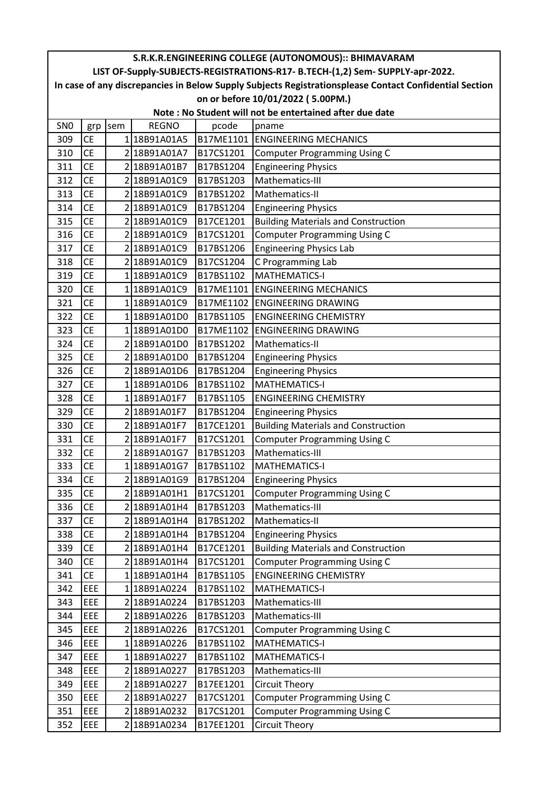| S.R.K.R.ENGINEERING COLLEGE (AUTONOMOUS):: BHIMAVARAM   |                                                                                                        |     |              |           |                                                                               |  |  |  |  |
|---------------------------------------------------------|--------------------------------------------------------------------------------------------------------|-----|--------------|-----------|-------------------------------------------------------------------------------|--|--|--|--|
|                                                         |                                                                                                        |     |              |           | LIST OF-Supply-SUBJECTS-REGISTRATIONS-R17- B.TECH-(1,2) Sem- SUPPLY-apr-2022. |  |  |  |  |
|                                                         | In case of any discrepancies in Below Supply Subjects Registrationsplease Contact Confidential Section |     |              |           |                                                                               |  |  |  |  |
| on or before 10/01/2022 (5.00PM.)                       |                                                                                                        |     |              |           |                                                                               |  |  |  |  |
| Note: No Student will not be entertained after due date |                                                                                                        |     |              |           |                                                                               |  |  |  |  |
| SN <sub>0</sub>                                         | grp                                                                                                    | sem | <b>REGNO</b> | pcode     | pname                                                                         |  |  |  |  |
| 309                                                     | <b>CE</b>                                                                                              |     | 1 18B91A01A5 | B17ME1101 | <b>ENGINEERING MECHANICS</b>                                                  |  |  |  |  |
| 310                                                     | <b>CE</b>                                                                                              |     | 2 18B91A01A7 | B17CS1201 | <b>Computer Programming Using C</b>                                           |  |  |  |  |
| 311                                                     | <b>CE</b>                                                                                              |     | 2 18B91A01B7 | B17BS1204 | <b>Engineering Physics</b>                                                    |  |  |  |  |
| 312                                                     | <b>CE</b>                                                                                              |     | 2 18B91A01C9 | B17BS1203 | Mathematics-III                                                               |  |  |  |  |
| 313                                                     | <b>CE</b>                                                                                              |     | 2 18B91A01C9 | B17BS1202 | Mathematics-II                                                                |  |  |  |  |
| 314                                                     | <b>CE</b>                                                                                              |     | 2 18B91A01C9 | B17BS1204 | <b>Engineering Physics</b>                                                    |  |  |  |  |
| 315                                                     | <b>CE</b>                                                                                              |     | 2 18B91A01C9 | B17CE1201 | <b>Building Materials and Construction</b>                                    |  |  |  |  |
| 316                                                     | <b>CE</b>                                                                                              |     | 2 18B91A01C9 | B17CS1201 | <b>Computer Programming Using C</b>                                           |  |  |  |  |
| 317                                                     | <b>CE</b>                                                                                              |     | 2 18B91A01C9 | B17BS1206 | <b>Engineering Physics Lab</b>                                                |  |  |  |  |
| 318                                                     | <b>CE</b>                                                                                              |     | 218B91A01C9  | B17CS1204 | C Programming Lab                                                             |  |  |  |  |
| 319                                                     | <b>CE</b>                                                                                              |     | 118B91A01C9  | B17BS1102 | <b>MATHEMATICS-I</b>                                                          |  |  |  |  |
| 320                                                     | <b>CE</b>                                                                                              |     | 118B91A01C9  | B17ME1101 | <b>ENGINEERING MECHANICS</b>                                                  |  |  |  |  |
| 321                                                     | <b>CE</b>                                                                                              |     | 118B91A01C9  | B17ME1102 | <b>ENGINEERING DRAWING</b>                                                    |  |  |  |  |
| 322                                                     | <b>CE</b>                                                                                              |     | 118B91A01D0  | B17BS1105 | <b>ENGINEERING CHEMISTRY</b>                                                  |  |  |  |  |
| 323                                                     | <b>CE</b>                                                                                              |     | 1 18B91A01D0 | B17ME1102 | <b>ENGINEERING DRAWING</b>                                                    |  |  |  |  |
| 324                                                     | <b>CE</b>                                                                                              |     | 2 18B91A01D0 | B17BS1202 | Mathematics-II                                                                |  |  |  |  |
| 325                                                     | <b>CE</b>                                                                                              |     | 2 18B91A01D0 | B17BS1204 | <b>Engineering Physics</b>                                                    |  |  |  |  |
| 326                                                     | <b>CE</b>                                                                                              |     | 2 18B91A01D6 | B17BS1204 | <b>Engineering Physics</b>                                                    |  |  |  |  |
| 327                                                     | <b>CE</b>                                                                                              |     | 1 18B91A01D6 | B17BS1102 | <b>MATHEMATICS-I</b>                                                          |  |  |  |  |
| 328                                                     | <b>CE</b>                                                                                              |     | 1 18B91A01F7 | B17BS1105 | <b>ENGINEERING CHEMISTRY</b>                                                  |  |  |  |  |
| 329                                                     | <b>CE</b>                                                                                              |     | 2 18B91A01F7 | B17BS1204 | <b>Engineering Physics</b>                                                    |  |  |  |  |
| 330                                                     | <b>CE</b>                                                                                              |     | 2 18B91A01F7 | B17CE1201 | <b>Building Materials and Construction</b>                                    |  |  |  |  |
| 331                                                     | <b>CE</b>                                                                                              |     | 2 18B91A01F7 | B17CS1201 | <b>Computer Programming Using C</b>                                           |  |  |  |  |
| 332                                                     | <b>CE</b>                                                                                              |     | 2 18B91A01G7 | B17BS1203 | Mathematics-III                                                               |  |  |  |  |
| 333                                                     | <b>CE</b>                                                                                              |     | 1 18B91A01G7 | B17BS1102 | <b>MATHEMATICS-I</b>                                                          |  |  |  |  |
| 334                                                     | <b>CE</b>                                                                                              |     | 2 18B91A01G9 | B17BS1204 | <b>Engineering Physics</b>                                                    |  |  |  |  |
| 335                                                     | <b>CE</b>                                                                                              |     | 2 18B91A01H1 | B17CS1201 | <b>Computer Programming Using C</b>                                           |  |  |  |  |
| 336                                                     | <b>CE</b>                                                                                              |     | 2 18B91A01H4 | B17BS1203 | Mathematics-III                                                               |  |  |  |  |
| 337                                                     | <b>CE</b>                                                                                              |     | 2 18B91A01H4 | B17BS1202 | Mathematics-II                                                                |  |  |  |  |
| 338                                                     | <b>CE</b>                                                                                              |     | 2 18B91A01H4 | B17BS1204 | <b>Engineering Physics</b>                                                    |  |  |  |  |
| 339                                                     | <b>CE</b>                                                                                              |     | 2 18B91A01H4 | B17CE1201 | <b>Building Materials and Construction</b>                                    |  |  |  |  |
| 340                                                     | <b>CE</b>                                                                                              |     | 2 18B91A01H4 | B17CS1201 | <b>Computer Programming Using C</b>                                           |  |  |  |  |
| 341                                                     | <b>CE</b>                                                                                              |     | 1 18B91A01H4 | B17BS1105 | <b>ENGINEERING CHEMISTRY</b>                                                  |  |  |  |  |
| 342                                                     | EEE                                                                                                    |     | 118B91A0224  | B17BS1102 | MATHEMATICS-I                                                                 |  |  |  |  |
| 343                                                     | EEE                                                                                                    |     | 2 18B91A0224 | B17BS1203 | Mathematics-III                                                               |  |  |  |  |
| 344                                                     | EEE                                                                                                    |     | 218B91A0226  | B17BS1203 | Mathematics-III                                                               |  |  |  |  |
| 345                                                     | <b>EEE</b>                                                                                             |     | 2 18B91A0226 | B17CS1201 | <b>Computer Programming Using C</b>                                           |  |  |  |  |
| 346                                                     | EEE                                                                                                    |     | 1 18B91A0226 | B17BS1102 | <b>MATHEMATICS-I</b>                                                          |  |  |  |  |
| 347                                                     | <b>EEE</b>                                                                                             |     | 118B91A0227  | B17BS1102 | MATHEMATICS-I                                                                 |  |  |  |  |
| 348                                                     | EEE                                                                                                    |     | 2 18B91A0227 | B17BS1203 | Mathematics-III                                                               |  |  |  |  |
| 349                                                     | EEE                                                                                                    |     | 2 18B91A0227 | B17EE1201 | <b>Circuit Theory</b>                                                         |  |  |  |  |
| 350                                                     | <b>EEE</b>                                                                                             |     | 2 18B91A0227 | B17CS1201 | <b>Computer Programming Using C</b>                                           |  |  |  |  |
| 351                                                     | <b>EEE</b>                                                                                             |     | 2 18B91A0232 | B17CS1201 | <b>Computer Programming Using C</b>                                           |  |  |  |  |
| 352                                                     | <b>EEE</b>                                                                                             |     | 2 18B91A0234 | B17EE1201 | Circuit Theory                                                                |  |  |  |  |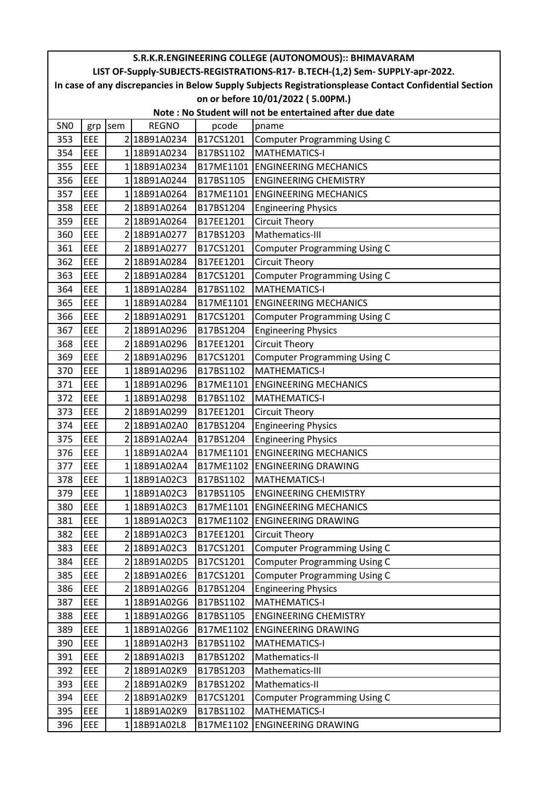| S.R.K.R.ENGINEERING COLLEGE (AUTONOMOUS):: BHIMAVARAM   |                                                                                                        |     |                      |           |                                                                               |  |  |  |  |  |
|---------------------------------------------------------|--------------------------------------------------------------------------------------------------------|-----|----------------------|-----------|-------------------------------------------------------------------------------|--|--|--|--|--|
|                                                         |                                                                                                        |     |                      |           | LIST OF-Supply-SUBJECTS-REGISTRATIONS-R17- B.TECH-(1,2) Sem- SUPPLY-apr-2022. |  |  |  |  |  |
|                                                         | In case of any discrepancies in Below Supply Subjects Registrationsplease Contact Confidential Section |     |                      |           |                                                                               |  |  |  |  |  |
| on or before 10/01/2022 (5.00PM.)                       |                                                                                                        |     |                      |           |                                                                               |  |  |  |  |  |
| Note: No Student will not be entertained after due date |                                                                                                        |     |                      |           |                                                                               |  |  |  |  |  |
| SN <sub>0</sub>                                         | grp                                                                                                    | sem | <b>REGNO</b>         | pcode     | pname                                                                         |  |  |  |  |  |
| 353                                                     | <b>EEE</b>                                                                                             |     | 2 18B91A0234         | B17CS1201 | <b>Computer Programming Using C</b>                                           |  |  |  |  |  |
| 354                                                     | <b>EEE</b>                                                                                             |     | 118B91A0234          | B17BS1102 | <b>MATHEMATICS-I</b>                                                          |  |  |  |  |  |
| 355                                                     | <b>EEE</b>                                                                                             |     | 118B91A0234          | B17ME1101 | <b>ENGINEERING MECHANICS</b>                                                  |  |  |  |  |  |
| 356                                                     | EEE                                                                                                    |     | 1 18B91A0244         | B17BS1105 | <b>ENGINEERING CHEMISTRY</b>                                                  |  |  |  |  |  |
| 357                                                     | EEE                                                                                                    |     | 118B91A0264          | B17ME1101 | <b>ENGINEERING MECHANICS</b>                                                  |  |  |  |  |  |
| 358                                                     | <b>EEE</b>                                                                                             |     | 2 18B91A0264         | B17BS1204 | <b>Engineering Physics</b>                                                    |  |  |  |  |  |
| 359                                                     | EEE                                                                                                    |     | 2 18B91A0264         | B17EE1201 | Circuit Theory                                                                |  |  |  |  |  |
| 360                                                     | EEE                                                                                                    |     | 218B91A0277          | B17BS1203 | Mathematics-III                                                               |  |  |  |  |  |
| 361                                                     | EEE                                                                                                    |     | 2 18B91A0277         | B17CS1201 | <b>Computer Programming Using C</b>                                           |  |  |  |  |  |
| 362                                                     | EEE                                                                                                    |     | 2 18B91A0284         | B17EE1201 | Circuit Theory                                                                |  |  |  |  |  |
| 363                                                     | EEE                                                                                                    |     | 2 18B91A0284         | B17CS1201 | <b>Computer Programming Using C</b>                                           |  |  |  |  |  |
| 364                                                     | EEE                                                                                                    |     | 118B91A0284          | B17BS1102 | <b>MATHEMATICS-I</b>                                                          |  |  |  |  |  |
| 365                                                     | <b>EEE</b>                                                                                             |     | 118B91A0284          | B17ME1101 | <b>ENGINEERING MECHANICS</b>                                                  |  |  |  |  |  |
| 366                                                     | <b>EEE</b>                                                                                             |     | 218B91A0291          | B17CS1201 | <b>Computer Programming Using C</b>                                           |  |  |  |  |  |
| 367                                                     | <b>EEE</b>                                                                                             |     | 2 18B91A0296         | B17BS1204 | <b>Engineering Physics</b>                                                    |  |  |  |  |  |
| 368                                                     | <b>EEE</b>                                                                                             |     | 2 18B91A0296         | B17EE1201 | <b>Circuit Theory</b>                                                         |  |  |  |  |  |
| 369                                                     | <b>EEE</b>                                                                                             |     | 2 18B91A0296         | B17CS1201 | <b>Computer Programming Using C</b>                                           |  |  |  |  |  |
| 370                                                     | <b>EEE</b>                                                                                             |     | 118B91A0296          | B17BS1102 | <b>MATHEMATICS-I</b>                                                          |  |  |  |  |  |
| 371                                                     | <b>EEE</b>                                                                                             |     | 118B91A0296          | B17ME1101 | <b>ENGINEERING MECHANICS</b>                                                  |  |  |  |  |  |
| 372                                                     | <b>EEE</b>                                                                                             |     | 118B91A0298          | B17BS1102 | <b>MATHEMATICS-I</b>                                                          |  |  |  |  |  |
| 373                                                     | EEE                                                                                                    |     | 218B91A0299          | B17EE1201 | <b>Circuit Theory</b>                                                         |  |  |  |  |  |
| 374                                                     | <b>EEE</b>                                                                                             |     | 2 18B91A02A0         | B17BS1204 | <b>Engineering Physics</b>                                                    |  |  |  |  |  |
| 375                                                     | EEE                                                                                                    |     | 2 18B91A02A4         | B17BS1204 | <b>Engineering Physics</b>                                                    |  |  |  |  |  |
| 376                                                     | <b>EEE</b>                                                                                             |     | 118B91A02A4          | B17ME1101 | <b>ENGINEERING MECHANICS</b>                                                  |  |  |  |  |  |
| 377                                                     | <b>EEE</b>                                                                                             |     | 118B91A02A4          |           | B17ME1102 ENGINEERING DRAWING                                                 |  |  |  |  |  |
| 378                                                     | EEE                                                                                                    |     | 1 18B91A02C3         | B17BS1102 | <b>MATHEMATICS-I</b>                                                          |  |  |  |  |  |
| 379                                                     | <b>EEE</b>                                                                                             |     | 118B91A02C3          | B17BS1105 | <b>ENGINEERING CHEMISTRY</b>                                                  |  |  |  |  |  |
| 380                                                     | EEE                                                                                                    |     | 118B91A02C3          | B17ME1101 | <b>ENGINEERING MECHANICS</b>                                                  |  |  |  |  |  |
| 381                                                     | EEE                                                                                                    |     | 1 18B91A02C3         | B17ME1102 | <b>ENGINEERING DRAWING</b>                                                    |  |  |  |  |  |
| 382                                                     | EEE                                                                                                    |     | 2 18B91A02C3         | B17EE1201 | <b>Circuit Theory</b>                                                         |  |  |  |  |  |
| 383                                                     | <b>EEE</b>                                                                                             |     | 2 18B91A02C3         | B17CS1201 | <b>Computer Programming Using C</b>                                           |  |  |  |  |  |
| 384                                                     | <b>EEE</b>                                                                                             |     | 2 18B91A02D5         | B17CS1201 | <b>Computer Programming Using C</b>                                           |  |  |  |  |  |
| 385                                                     | <b>EEE</b>                                                                                             |     | 2 18B91A02E6         | B17CS1201 | <b>Computer Programming Using C</b>                                           |  |  |  |  |  |
| 386                                                     | <b>EEE</b>                                                                                             |     | 2 18 B 9 1 A 0 2 G 6 | B17BS1204 | <b>Engineering Physics</b>                                                    |  |  |  |  |  |
| 387                                                     | EEE                                                                                                    |     | 118B91A02G6          | B17BS1102 | <b>MATHEMATICS-I</b>                                                          |  |  |  |  |  |
| 388                                                     | EEE                                                                                                    |     | 118B91A02G6          | B17BS1105 | <b>ENGINEERING CHEMISTRY</b>                                                  |  |  |  |  |  |
| 389                                                     | <b>EEE</b>                                                                                             |     | 1 18B91A02G6         | B17ME1102 | <b>ENGINEERING DRAWING</b>                                                    |  |  |  |  |  |
| 390                                                     | <b>EEE</b>                                                                                             |     | 1 18B91A02H3         | B17BS1102 | <b>MATHEMATICS-I</b>                                                          |  |  |  |  |  |
| 391                                                     | <b>EEE</b>                                                                                             |     | 2 18B91A0213         | B17BS1202 | Mathematics-II                                                                |  |  |  |  |  |
| 392                                                     | <b>EEE</b>                                                                                             |     | 2 18B91A02K9         | B17BS1203 | Mathematics-III                                                               |  |  |  |  |  |
| 393                                                     | <b>EEE</b>                                                                                             |     | 2 18B91A02K9         | B17BS1202 | Mathematics-II                                                                |  |  |  |  |  |
| 394                                                     | <b>EEE</b>                                                                                             |     | 2 18B91A02K9         | B17CS1201 | <b>Computer Programming Using C</b>                                           |  |  |  |  |  |
| 395                                                     | EEE                                                                                                    |     | 118B91A02K9          | B17BS1102 | <b>MATHEMATICS-I</b>                                                          |  |  |  |  |  |
| 396                                                     | <b>EEE</b>                                                                                             |     | 1 18B91A02L8         | B17ME1102 | <b>ENGINEERING DRAWING</b>                                                    |  |  |  |  |  |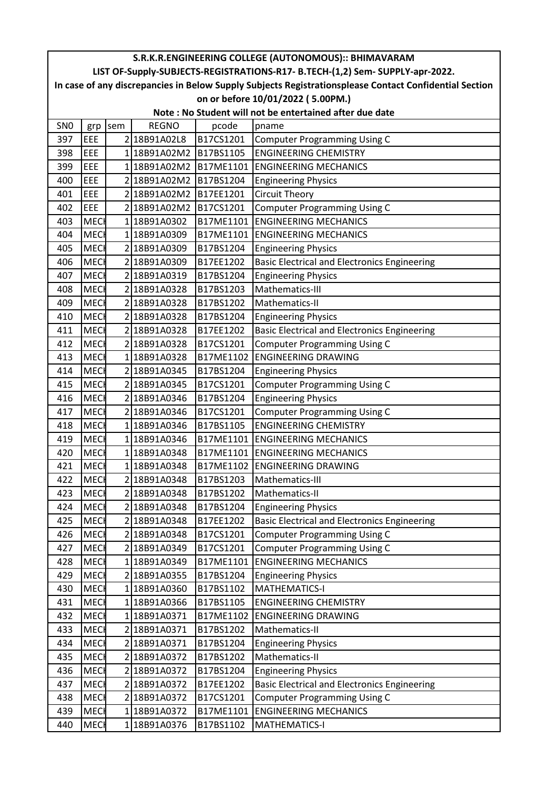| S.R.K.R.ENGINEERING COLLEGE (AUTONOMOUS):: BHIMAVARAM   |                                                                                                        |     |                        |           |                                                                               |  |  |  |  |
|---------------------------------------------------------|--------------------------------------------------------------------------------------------------------|-----|------------------------|-----------|-------------------------------------------------------------------------------|--|--|--|--|
|                                                         |                                                                                                        |     |                        |           | LIST OF-Supply-SUBJECTS-REGISTRATIONS-R17- B.TECH-(1,2) Sem- SUPPLY-apr-2022. |  |  |  |  |
|                                                         | In case of any discrepancies in Below Supply Subjects Registrationsplease Contact Confidential Section |     |                        |           |                                                                               |  |  |  |  |
| on or before 10/01/2022 (5.00PM.)                       |                                                                                                        |     |                        |           |                                                                               |  |  |  |  |
| Note: No Student will not be entertained after due date |                                                                                                        |     |                        |           |                                                                               |  |  |  |  |
| SN <sub>0</sub>                                         | grp                                                                                                    | sem | <b>REGNO</b>           | pcode     | pname                                                                         |  |  |  |  |
| 397                                                     | EEE                                                                                                    |     | 2 18B91A02L8           | B17CS1201 | <b>Computer Programming Using C</b>                                           |  |  |  |  |
| 398                                                     | EEE                                                                                                    |     | 1 18B91A02M2 B17BS1105 |           | <b>ENGINEERING CHEMISTRY</b>                                                  |  |  |  |  |
| 399                                                     | EEE                                                                                                    |     | 118B91A02M2            | B17ME1101 | <b>ENGINEERING MECHANICS</b>                                                  |  |  |  |  |
| 400                                                     | <b>EEE</b>                                                                                             |     | 2 18B91A02M2           | B17BS1204 | <b>Engineering Physics</b>                                                    |  |  |  |  |
| 401                                                     | EEE                                                                                                    |     | 2 18B91A02M2           | B17EE1201 | <b>Circuit Theory</b>                                                         |  |  |  |  |
| 402                                                     | EEE                                                                                                    |     | 2 18B91A02M2           | B17CS1201 | <b>Computer Programming Using C</b>                                           |  |  |  |  |
| 403                                                     | <b>MECI</b>                                                                                            |     | 1 18B91A0302           | B17ME1101 | <b>ENGINEERING MECHANICS</b>                                                  |  |  |  |  |
| 404                                                     | <b>MECH</b>                                                                                            |     | 118B91A0309            | B17ME1101 | <b>ENGINEERING MECHANICS</b>                                                  |  |  |  |  |
| 405                                                     | <b>MECI</b>                                                                                            |     | 218B91A0309            | B17BS1204 | <b>Engineering Physics</b>                                                    |  |  |  |  |
| 406                                                     | <b>MECI</b>                                                                                            |     | 2 18B91A0309           | B17EE1202 | <b>Basic Electrical and Electronics Engineering</b>                           |  |  |  |  |
| 407                                                     | <b>MECH</b>                                                                                            |     | 218B91A0319            | B17BS1204 | <b>Engineering Physics</b>                                                    |  |  |  |  |
| 408                                                     | <b>MECH</b>                                                                                            |     | 218B91A0328            | B17BS1203 | Mathematics-III                                                               |  |  |  |  |
| 409                                                     | <b>MECH</b>                                                                                            |     | 218B91A0328            | B17BS1202 | Mathematics-II                                                                |  |  |  |  |
| 410                                                     | <b>MECH</b>                                                                                            |     | 2 18B91A0328           | B17BS1204 | <b>Engineering Physics</b>                                                    |  |  |  |  |
| 411                                                     | <b>MECI</b>                                                                                            |     | 218B91A0328            | B17EE1202 | <b>Basic Electrical and Electronics Engineering</b>                           |  |  |  |  |
| 412                                                     | <b>MEC</b>                                                                                             |     | 2 18B91A0328           | B17CS1201 | <b>Computer Programming Using C</b>                                           |  |  |  |  |
| 413                                                     | <b>MECI</b>                                                                                            |     | 1 18B91A0328           | B17ME1102 | <b>ENGINEERING DRAWING</b>                                                    |  |  |  |  |
| 414                                                     | <b>MECH</b>                                                                                            |     | 2 18B91A0345           | B17BS1204 | <b>Engineering Physics</b>                                                    |  |  |  |  |
| 415                                                     | <b>MECH</b>                                                                                            |     | 2 18B91A0345           | B17CS1201 | <b>Computer Programming Using C</b>                                           |  |  |  |  |
| 416                                                     | <b>MECI</b>                                                                                            |     | 2 18B91A0346           | B17BS1204 | <b>Engineering Physics</b>                                                    |  |  |  |  |
| 417                                                     | <b>MECI</b>                                                                                            |     | 2 18B91A0346           | B17CS1201 | <b>Computer Programming Using C</b>                                           |  |  |  |  |
| 418                                                     | <b>MECI</b>                                                                                            |     | 118B91A0346            | B17BS1105 | <b>ENGINEERING CHEMISTRY</b>                                                  |  |  |  |  |
| 419                                                     | <b>MECI</b>                                                                                            |     | 118B91A0346            | B17ME1101 | <b>ENGINEERING MECHANICS</b>                                                  |  |  |  |  |
| 420                                                     | <b>MECH</b>                                                                                            |     | 118B91A0348            | B17ME1101 | <b>ENGINEERING MECHANICS</b>                                                  |  |  |  |  |
| 421                                                     | <b>MECH</b>                                                                                            |     | 1 18B91A0348           |           | B17ME1102 ENGINEERING DRAWING                                                 |  |  |  |  |
| 422                                                     | <b>MECH</b>                                                                                            |     | 2 18B91A0348           | B17BS1203 | Mathematics-III                                                               |  |  |  |  |
| 423                                                     | <b>MECH</b>                                                                                            |     | 218B91A0348            | B17BS1202 | Mathematics-II                                                                |  |  |  |  |
| 424                                                     | <b>MECH</b>                                                                                            |     | 2 18B91A0348           | B17BS1204 | <b>Engineering Physics</b>                                                    |  |  |  |  |
| 425                                                     | <b>MECH</b>                                                                                            |     | 2 18B91A0348           | B17EE1202 | <b>Basic Electrical and Electronics Engineering</b>                           |  |  |  |  |
| 426                                                     | <b>MECH</b>                                                                                            |     | 2 18B91A0348           | B17CS1201 | <b>Computer Programming Using C</b>                                           |  |  |  |  |
| 427                                                     | <b>MECH</b>                                                                                            |     | 2 18B91A0349           | B17CS1201 | <b>Computer Programming Using C</b>                                           |  |  |  |  |
| 428                                                     | <b>MECH</b>                                                                                            |     | 118B91A0349            | B17ME1101 | <b>ENGINEERING MECHANICS</b>                                                  |  |  |  |  |
| 429                                                     | <b>MECH</b>                                                                                            |     | 2 18B91A0355           | B17BS1204 | <b>Engineering Physics</b>                                                    |  |  |  |  |
| 430                                                     | <b>MECH</b>                                                                                            |     | 1 18B91A0360           | B17BS1102 | <b>MATHEMATICS-I</b>                                                          |  |  |  |  |
| 431                                                     | <b>MECH</b>                                                                                            |     | 118B91A0366            | B17BS1105 | <b>ENGINEERING CHEMISTRY</b>                                                  |  |  |  |  |
| 432                                                     | <b>MECI</b>                                                                                            |     | 1 18B91A0371           | B17ME1102 | <b>ENGINEERING DRAWING</b>                                                    |  |  |  |  |
| 433                                                     | <b>MECH</b>                                                                                            |     | 2 18B91A0371           | B17BS1202 | Mathematics-II                                                                |  |  |  |  |
| 434                                                     | <b>MECH</b>                                                                                            |     | 2 18B91A0371           | B17BS1204 | <b>Engineering Physics</b>                                                    |  |  |  |  |
| 435                                                     | <b>MECH</b>                                                                                            |     | 2 18B91A0372           | B17BS1202 | Mathematics-II                                                                |  |  |  |  |
| 436                                                     | <b>MECH</b>                                                                                            |     | 2 18B91A0372           | B17BS1204 | <b>Engineering Physics</b>                                                    |  |  |  |  |
| 437                                                     | <b>MECH</b>                                                                                            |     | 2 18B91A0372           | B17EE1202 | <b>Basic Electrical and Electronics Engineering</b>                           |  |  |  |  |
| 438                                                     | <b>MECH</b>                                                                                            |     | 2 18B91A0372           | B17CS1201 | <b>Computer Programming Using C</b>                                           |  |  |  |  |
| 439                                                     | <b>MECH</b>                                                                                            |     | 118B91A0372            | B17ME1101 | <b>ENGINEERING MECHANICS</b>                                                  |  |  |  |  |
| 440                                                     | <b>MECH</b>                                                                                            |     | 1 18B91A0376           | B17BS1102 | <b>MATHEMATICS-I</b>                                                          |  |  |  |  |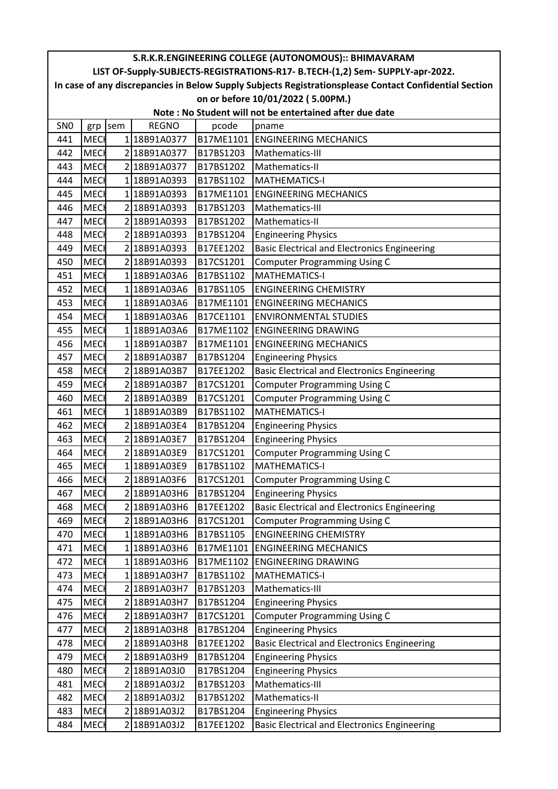| S.R.K.R.ENGINEERING COLLEGE (AUTONOMOUS):: BHIMAVARAM   |                                                                                                        |     |              |           |                                                                               |  |  |  |  |  |
|---------------------------------------------------------|--------------------------------------------------------------------------------------------------------|-----|--------------|-----------|-------------------------------------------------------------------------------|--|--|--|--|--|
|                                                         |                                                                                                        |     |              |           | LIST OF-Supply-SUBJECTS-REGISTRATIONS-R17- B.TECH-(1,2) Sem- SUPPLY-apr-2022. |  |  |  |  |  |
|                                                         | In case of any discrepancies in Below Supply Subjects Registrationsplease Contact Confidential Section |     |              |           |                                                                               |  |  |  |  |  |
| on or before 10/01/2022 (5.00PM.)                       |                                                                                                        |     |              |           |                                                                               |  |  |  |  |  |
| Note: No Student will not be entertained after due date |                                                                                                        |     |              |           |                                                                               |  |  |  |  |  |
| SN <sub>0</sub>                                         | grp                                                                                                    | sem | <b>REGNO</b> | pcode     | pname                                                                         |  |  |  |  |  |
| 441                                                     | <b>MECH</b>                                                                                            |     | 118B91A0377  | B17ME1101 | <b>ENGINEERING MECHANICS</b>                                                  |  |  |  |  |  |
| 442                                                     | <b>MECH</b>                                                                                            |     | 2 18B91A0377 | B17BS1203 | Mathematics-III                                                               |  |  |  |  |  |
| 443                                                     | <b>MECH</b>                                                                                            |     | 2 18B91A0377 | B17BS1202 | Mathematics-II                                                                |  |  |  |  |  |
| 444                                                     | <b>MECH</b>                                                                                            |     | 1 18B91A0393 | B17BS1102 | <b>MATHEMATICS-I</b>                                                          |  |  |  |  |  |
| 445                                                     | <b>MECH</b>                                                                                            |     | 118B91A0393  | B17ME1101 | <b>ENGINEERING MECHANICS</b>                                                  |  |  |  |  |  |
| 446                                                     | <b>MEC</b>                                                                                             |     | 2 18B91A0393 | B17BS1203 | Mathematics-III                                                               |  |  |  |  |  |
| 447                                                     | <b>MECH</b>                                                                                            |     | 2 18B91A0393 | B17BS1202 | Mathematics-II                                                                |  |  |  |  |  |
| 448                                                     | <b>MECH</b>                                                                                            |     | 2 18B91A0393 | B17BS1204 | <b>Engineering Physics</b>                                                    |  |  |  |  |  |
| 449                                                     | <b>MECH</b>                                                                                            |     | 2 18B91A0393 | B17EE1202 | <b>Basic Electrical and Electronics Engineering</b>                           |  |  |  |  |  |
| 450                                                     | <b>MECH</b>                                                                                            |     | 2 18B91A0393 | B17CS1201 | <b>Computer Programming Using C</b>                                           |  |  |  |  |  |
| 451                                                     | <b>MECH</b>                                                                                            |     | 118B91A03A6  | B17BS1102 | <b>MATHEMATICS-I</b>                                                          |  |  |  |  |  |
| 452                                                     | <b>MECI</b>                                                                                            |     | 118B91A03A6  | B17BS1105 | <b>ENGINEERING CHEMISTRY</b>                                                  |  |  |  |  |  |
| 453                                                     | <b>MECH</b>                                                                                            |     | 1 18B91A03A6 | B17ME1101 | <b>ENGINEERING MECHANICS</b>                                                  |  |  |  |  |  |
| 454                                                     | <b>MECH</b>                                                                                            |     | 118B91A03A6  | B17CE1101 | <b>ENVIRONMENTAL STUDIES</b>                                                  |  |  |  |  |  |
| 455                                                     | <b>MECH</b>                                                                                            |     | 1 18B91A03A6 | B17ME1102 | <b>ENGINEERING DRAWING</b>                                                    |  |  |  |  |  |
| 456                                                     | <b>MECI</b>                                                                                            |     | 1 18B91A03B7 | B17ME1101 | <b>ENGINEERING MECHANICS</b>                                                  |  |  |  |  |  |
| 457                                                     | <b>MECH</b>                                                                                            |     | 2 18B91A03B7 | B17BS1204 | <b>Engineering Physics</b>                                                    |  |  |  |  |  |
| 458                                                     | <b>MEC</b>                                                                                             |     | 2 18B91A03B7 | B17EE1202 | <b>Basic Electrical and Electronics Engineering</b>                           |  |  |  |  |  |
| 459                                                     | <b>MECH</b>                                                                                            |     | 2 18B91A03B7 | B17CS1201 | <b>Computer Programming Using C</b>                                           |  |  |  |  |  |
| 460                                                     | <b>MECH</b>                                                                                            |     | 2 18B91A03B9 | B17CS1201 | <b>Computer Programming Using C</b>                                           |  |  |  |  |  |
| 461                                                     | <b>MECH</b>                                                                                            |     | 1 18B91A03B9 | B17BS1102 | <b>MATHEMATICS-I</b>                                                          |  |  |  |  |  |
| 462                                                     | <b>MECH</b>                                                                                            |     | 2 18B91A03E4 | B17BS1204 | <b>Engineering Physics</b>                                                    |  |  |  |  |  |
| 463                                                     | <b>MECI</b>                                                                                            |     | 2 18B91A03E7 | B17BS1204 | <b>Engineering Physics</b>                                                    |  |  |  |  |  |
| 464                                                     | <b>MECI</b>                                                                                            |     | 2 18B91A03E9 | B17CS1201 | <b>Computer Programming Using C</b>                                           |  |  |  |  |  |
| 465                                                     | <b>MECI</b>                                                                                            |     | 118B91A03E9  | B17BS1102 | <b>MATHEMATICS-I</b>                                                          |  |  |  |  |  |
| 466                                                     | <b>MECH</b>                                                                                            |     | 2 18B91A03F6 | B17CS1201 | <b>Computer Programming Using C</b>                                           |  |  |  |  |  |
| 467                                                     | <b>MECH</b>                                                                                            |     | 218B91A03H6  | B17BS1204 | <b>Engineering Physics</b>                                                    |  |  |  |  |  |
| 468                                                     | <b>MECH</b>                                                                                            |     | 2 18B91A03H6 | B17EE1202 | <b>Basic Electrical and Electronics Engineering</b>                           |  |  |  |  |  |
| 469                                                     | <b>MECH</b>                                                                                            |     | 2 18B91A03H6 | B17CS1201 | <b>Computer Programming Using C</b>                                           |  |  |  |  |  |
| 470                                                     | <b>MECH</b>                                                                                            |     | 1 18B91A03H6 | B17BS1105 | <b>ENGINEERING CHEMISTRY</b>                                                  |  |  |  |  |  |
| 471                                                     | <b>MECH</b>                                                                                            |     | 1 18B91A03H6 | B17ME1101 | <b>ENGINEERING MECHANICS</b>                                                  |  |  |  |  |  |
| 472                                                     | <b>MECH</b>                                                                                            |     | 1 18B91A03H6 | B17ME1102 | <b>ENGINEERING DRAWING</b>                                                    |  |  |  |  |  |
| 473                                                     | <b>MECH</b>                                                                                            |     | 1 18B91A03H7 | B17BS1102 | <b>MATHEMATICS-I</b>                                                          |  |  |  |  |  |
| 474                                                     | <b>MECH</b>                                                                                            |     | 2 18B91A03H7 | B17BS1203 | Mathematics-III                                                               |  |  |  |  |  |
| 475                                                     | <b>MECH</b>                                                                                            |     | 2 18B91A03H7 | B17BS1204 | <b>Engineering Physics</b>                                                    |  |  |  |  |  |
| 476                                                     | <b>MECH</b>                                                                                            |     | 2 18B91A03H7 | B17CS1201 | <b>Computer Programming Using C</b>                                           |  |  |  |  |  |
| 477                                                     | <b>MECH</b>                                                                                            |     | 2 18B91A03H8 | B17BS1204 | <b>Engineering Physics</b>                                                    |  |  |  |  |  |
| 478                                                     | <b>MECH</b>                                                                                            |     | 2 18B91A03H8 | B17EE1202 | <b>Basic Electrical and Electronics Engineering</b>                           |  |  |  |  |  |
| 479                                                     | <b>MECH</b>                                                                                            |     | 2 18B91A03H9 | B17BS1204 | <b>Engineering Physics</b>                                                    |  |  |  |  |  |
| 480                                                     | <b>MECH</b>                                                                                            |     | 2 18B91A03J0 | B17BS1204 | <b>Engineering Physics</b>                                                    |  |  |  |  |  |
| 481                                                     | <b>MECH</b>                                                                                            |     | 2 18B91A03J2 | B17BS1203 | Mathematics-III                                                               |  |  |  |  |  |
| 482                                                     | <b>MECH</b>                                                                                            |     | 2 18B91A03J2 | B17BS1202 | Mathematics-II                                                                |  |  |  |  |  |
| 483                                                     | <b>MECH</b>                                                                                            |     | 2 18B91A03J2 | B17BS1204 | <b>Engineering Physics</b>                                                    |  |  |  |  |  |
| 484                                                     | <b>MECH</b>                                                                                            |     | 2 18B91A03J2 | B17EE1202 | <b>Basic Electrical and Electronics Engineering</b>                           |  |  |  |  |  |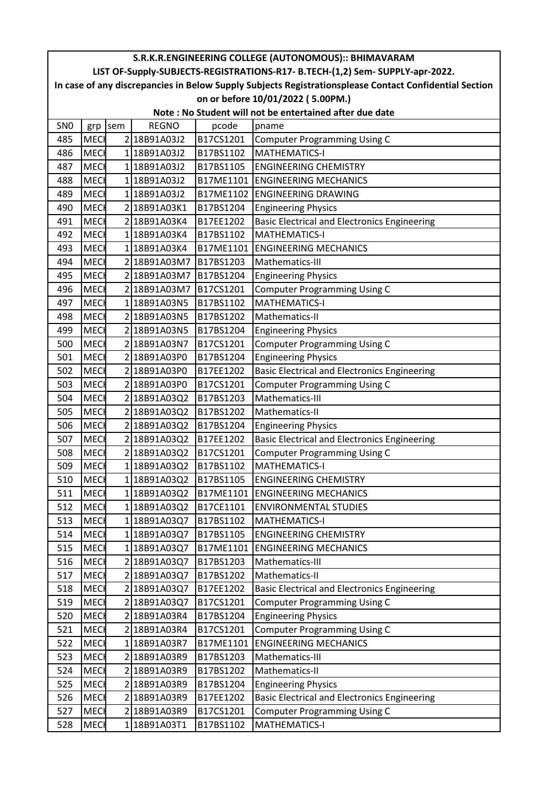| S.R.K.R.ENGINEERING COLLEGE (AUTONOMOUS):: BHIMAVARAM   |             |     |              |           |                                                                                                        |  |  |  |  |
|---------------------------------------------------------|-------------|-----|--------------|-----------|--------------------------------------------------------------------------------------------------------|--|--|--|--|
|                                                         |             |     |              |           | LIST OF-Supply-SUBJECTS-REGISTRATIONS-R17- B.TECH-(1,2) Sem- SUPPLY-apr-2022.                          |  |  |  |  |
|                                                         |             |     |              |           | In case of any discrepancies in Below Supply Subjects Registrationsplease Contact Confidential Section |  |  |  |  |
| on or before 10/01/2022 (5.00PM.)                       |             |     |              |           |                                                                                                        |  |  |  |  |
| Note: No Student will not be entertained after due date |             |     |              |           |                                                                                                        |  |  |  |  |
| SN <sub>0</sub>                                         | grp         | sem | <b>REGNO</b> | pcode     | pname                                                                                                  |  |  |  |  |
| 485                                                     | <b>MECI</b> |     | 2 18B91A03J2 | B17CS1201 | <b>Computer Programming Using C</b>                                                                    |  |  |  |  |
| 486                                                     | <b>MECH</b> |     | 1 18B91A03J2 | B17BS1102 | <b>MATHEMATICS-I</b>                                                                                   |  |  |  |  |
| 487                                                     | <b>MEC</b>  |     | 1 18B91A03J2 | B17BS1105 | <b>ENGINEERING CHEMISTRY</b>                                                                           |  |  |  |  |
| 488                                                     | <b>MEC</b>  |     | 1 18B91A03J2 | B17ME1101 | <b>ENGINEERING MECHANICS</b>                                                                           |  |  |  |  |
| 489                                                     | <b>MECI</b> |     | 118B91A03J2  |           | B17ME1102 ENGINEERING DRAWING                                                                          |  |  |  |  |
| 490                                                     | <b>MEC</b>  |     | 2 18B91A03K1 | B17BS1204 | <b>Engineering Physics</b>                                                                             |  |  |  |  |
| 491                                                     | <b>MECH</b> |     | 2 18B91A03K4 | B17EE1202 | <b>Basic Electrical and Electronics Engineering</b>                                                    |  |  |  |  |
| 492                                                     | <b>MECI</b> |     | 1 18B91A03K4 | B17BS1102 | <b>MATHEMATICS-I</b>                                                                                   |  |  |  |  |
| 493                                                     | <b>MECI</b> |     | 1 18B91A03K4 | B17ME1101 | <b>ENGINEERING MECHANICS</b>                                                                           |  |  |  |  |
| 494                                                     | <b>MECI</b> |     | 2 18B91A03M7 | B17BS1203 | Mathematics-III                                                                                        |  |  |  |  |
| 495                                                     | <b>MEC</b>  |     | 2 18B91A03M7 | B17BS1204 | <b>Engineering Physics</b>                                                                             |  |  |  |  |
| 496                                                     | <b>MECH</b> |     | 2 18B91A03M7 | B17CS1201 | <b>Computer Programming Using C</b>                                                                    |  |  |  |  |
| 497                                                     | <b>MEC</b>  |     | 118B91A03N5  | B17BS1102 | <b>MATHEMATICS-I</b>                                                                                   |  |  |  |  |
| 498                                                     | <b>MEC</b>  |     | 218B91A03N5  | B17BS1202 | Mathematics-II                                                                                         |  |  |  |  |
| 499                                                     | <b>MECH</b> |     | 2 18B91A03N5 | B17BS1204 | <b>Engineering Physics</b>                                                                             |  |  |  |  |
| 500                                                     | <b>MEC</b>  |     | 2 18B91A03N7 | B17CS1201 | <b>Computer Programming Using C</b>                                                                    |  |  |  |  |
| 501                                                     | <b>MECI</b> |     | 218B91A03P0  | B17BS1204 | <b>Engineering Physics</b>                                                                             |  |  |  |  |
| 502                                                     | <b>MECH</b> |     | 2 18B91A03P0 | B17EE1202 | <b>Basic Electrical and Electronics Engineering</b>                                                    |  |  |  |  |
| 503                                                     | <b>MECH</b> |     | 2 18B91A03P0 | B17CS1201 | <b>Computer Programming Using C</b>                                                                    |  |  |  |  |
| 504                                                     | <b>MEC</b>  |     | 2 18B91A03Q2 | B17BS1203 | Mathematics-III                                                                                        |  |  |  |  |
| 505                                                     | <b>MEC</b>  |     | 2 18B91A03Q2 | B17BS1202 | Mathematics-II                                                                                         |  |  |  |  |
| 506                                                     | <b>MEC</b>  |     | 2 18B91A03Q2 | B17BS1204 | <b>Engineering Physics</b>                                                                             |  |  |  |  |
| 507                                                     | <b>MEC</b>  |     | 2 18B91A03Q2 | B17EE1202 | <b>Basic Electrical and Electronics Engineering</b>                                                    |  |  |  |  |
| 508                                                     | <b>MEC</b>  |     | 2 18B91A03Q2 | B17CS1201 | <b>Computer Programming Using C</b>                                                                    |  |  |  |  |
| 509                                                     | <b>MECH</b> |     | 1 18B91A03Q2 | B17BS1102 | <b>MATHEMATICS-I</b>                                                                                   |  |  |  |  |
| 510                                                     | MECI        |     | 118B91A03Q2  | B17BS1105 | <b>ENGINEERING CHEMISTRY</b>                                                                           |  |  |  |  |
| 511                                                     | <b>MEC</b>  |     | 118B91A03Q2  | B17ME1101 | <b>ENGINEERING MECHANICS</b>                                                                           |  |  |  |  |
| 512                                                     | <b>MECH</b> |     | 118B91A03Q2  | B17CE1101 | <b>ENVIRONMENTAL STUDIES</b>                                                                           |  |  |  |  |
| 513                                                     | <b>MECI</b> |     | 1 18B91A03Q7 | B17BS1102 | <b>MATHEMATICS-I</b>                                                                                   |  |  |  |  |
| 514                                                     | <b>MECH</b> |     | 118B91A03Q7  | B17BS1105 | <b>ENGINEERING CHEMISTRY</b>                                                                           |  |  |  |  |
| 515                                                     | <b>MECH</b> |     | 1 18B91A03Q7 | B17ME1101 | <b>ENGINEERING MECHANICS</b>                                                                           |  |  |  |  |
| 516                                                     | <b>MECH</b> |     | 2 18B91A03Q7 | B17BS1203 | Mathematics-III                                                                                        |  |  |  |  |
| 517                                                     | <b>MEC</b>  |     | 2 18B91A03Q7 | B17BS1202 | Mathematics-II                                                                                         |  |  |  |  |
| 518                                                     | <b>MECH</b> |     | 2 18B91A03Q7 | B17EE1202 | <b>Basic Electrical and Electronics Engineering</b>                                                    |  |  |  |  |
| 519                                                     | <b>MECH</b> |     | 2 18B91A03Q7 | B17CS1201 | <b>Computer Programming Using C</b>                                                                    |  |  |  |  |
| 520                                                     | <b>MEC</b>  |     | 2 18B91A03R4 | B17BS1204 | <b>Engineering Physics</b>                                                                             |  |  |  |  |
| 521                                                     | <b>MECH</b> |     | 2 18B91A03R4 | B17CS1201 | <b>Computer Programming Using C</b>                                                                    |  |  |  |  |
| 522                                                     | <b>MECH</b> |     | 1 18B91A03R7 | B17ME1101 | <b>ENGINEERING MECHANICS</b>                                                                           |  |  |  |  |
| 523                                                     | <b>MEC</b>  |     | 2 18B91A03R9 | B17BS1203 | Mathematics-III                                                                                        |  |  |  |  |
| 524                                                     | <b>MEC</b>  |     | 2 18B91A03R9 | B17BS1202 | Mathematics-II                                                                                         |  |  |  |  |
| 525                                                     | <b>MECH</b> |     | 2 18B91A03R9 | B17BS1204 | <b>Engineering Physics</b>                                                                             |  |  |  |  |
| 526                                                     | <b>MECH</b> |     | 2 18B91A03R9 | B17EE1202 | <b>Basic Electrical and Electronics Engineering</b>                                                    |  |  |  |  |
| 527                                                     | <b>MECI</b> |     | 2 18B91A03R9 | B17CS1201 | <b>Computer Programming Using C</b>                                                                    |  |  |  |  |
| 528                                                     | <b>MECH</b> |     | 1 18B91A03T1 | B17BS1102 | MATHEMATICS-I                                                                                          |  |  |  |  |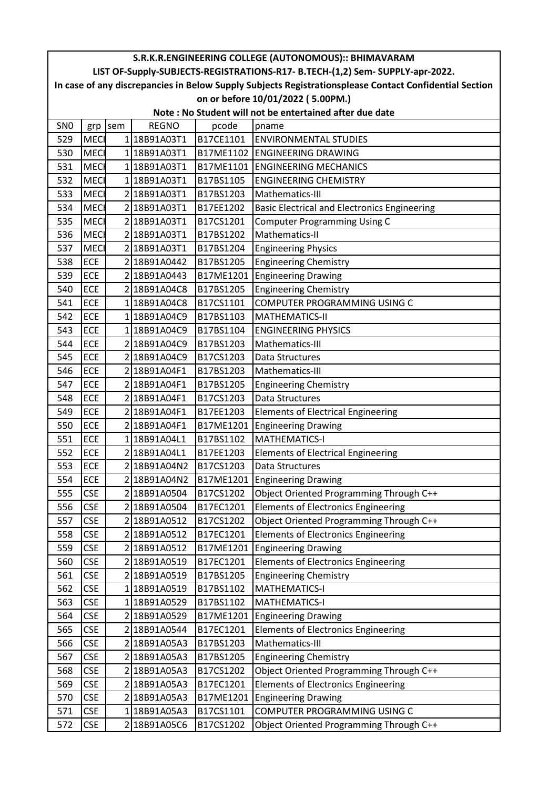| S.R.K.R.ENGINEERING COLLEGE (AUTONOMOUS):: BHIMAVARAM                                                  |             |     |              |           |                                                     |  |  |
|--------------------------------------------------------------------------------------------------------|-------------|-----|--------------|-----------|-----------------------------------------------------|--|--|
| LIST OF-Supply-SUBJECTS-REGISTRATIONS-R17- B.TECH-(1,2) Sem- SUPPLY-apr-2022.                          |             |     |              |           |                                                     |  |  |
| In case of any discrepancies in Below Supply Subjects Registrationsplease Contact Confidential Section |             |     |              |           |                                                     |  |  |
| on or before 10/01/2022 (5.00PM.)                                                                      |             |     |              |           |                                                     |  |  |
| Note: No Student will not be entertained after due date                                                |             |     |              |           |                                                     |  |  |
| SN <sub>0</sub>                                                                                        | grp         | sem | <b>REGNO</b> | pcode     | pname                                               |  |  |
| 529                                                                                                    | <b>MECH</b> |     | 1 18B91A03T1 | B17CE1101 | <b>ENVIRONMENTAL STUDIES</b>                        |  |  |
| 530                                                                                                    | <b>MECH</b> |     | 1 18B91A03T1 | B17ME1102 | <b>ENGINEERING DRAWING</b>                          |  |  |
| 531                                                                                                    | <b>MECH</b> |     | 1 18B91A03T1 | B17ME1101 | <b>ENGINEERING MECHANICS</b>                        |  |  |
| 532                                                                                                    | <b>MECI</b> |     | 1 18B91A03T1 | B17BS1105 | <b>ENGINEERING CHEMISTRY</b>                        |  |  |
| 533                                                                                                    | <b>MECH</b> |     | 2 18B91A03T1 | B17BS1203 | Mathematics-III                                     |  |  |
| 534                                                                                                    | <b>MEC</b>  |     | 2 18B91A03T1 | B17EE1202 | <b>Basic Electrical and Electronics Engineering</b> |  |  |
| 535                                                                                                    | <b>MECH</b> |     | 2 18B91A03T1 | B17CS1201 | <b>Computer Programming Using C</b>                 |  |  |
| 536                                                                                                    | <b>MECH</b> |     | 2 18B91A03T1 | B17BS1202 | Mathematics-II                                      |  |  |
| 537                                                                                                    | <b>MECH</b> |     | 2 18B91A03T1 | B17BS1204 | <b>Engineering Physics</b>                          |  |  |
| 538                                                                                                    | <b>ECE</b>  |     | 2 18B91A0442 | B17BS1205 | <b>Engineering Chemistry</b>                        |  |  |
| 539                                                                                                    | <b>ECE</b>  |     | 2 18B91A0443 | B17ME1201 | <b>Engineering Drawing</b>                          |  |  |
| 540                                                                                                    | <b>ECE</b>  |     | 2 18B91A04C8 | B17BS1205 | <b>Engineering Chemistry</b>                        |  |  |
| 541                                                                                                    | <b>ECE</b>  |     | 118B91A04C8  | B17CS1101 | COMPUTER PROGRAMMING USING C                        |  |  |
| 542                                                                                                    | <b>ECE</b>  |     | 1 18B91A04C9 | B17BS1103 | <b>MATHEMATICS-II</b>                               |  |  |
| 543                                                                                                    | <b>ECE</b>  |     | 1 18B91A04C9 | B17BS1104 | <b>ENGINEERING PHYSICS</b>                          |  |  |
| 544                                                                                                    | <b>ECE</b>  |     | 2 18B91A04C9 | B17BS1203 | Mathematics-III                                     |  |  |
| 545                                                                                                    | <b>ECE</b>  |     | 2 18B91A04C9 | B17CS1203 | Data Structures                                     |  |  |
| 546                                                                                                    | <b>ECE</b>  |     | 2 18B91A04F1 | B17BS1203 | Mathematics-III                                     |  |  |
| 547                                                                                                    | <b>ECE</b>  |     | 2 18B91A04F1 | B17BS1205 | <b>Engineering Chemistry</b>                        |  |  |
| 548                                                                                                    | <b>ECE</b>  |     | 2 18B91A04F1 | B17CS1203 | <b>Data Structures</b>                              |  |  |
| 549                                                                                                    | <b>ECE</b>  |     | 2 18B91A04F1 | B17EE1203 | <b>Elements of Electrical Engineering</b>           |  |  |
| 550                                                                                                    | <b>ECE</b>  |     | 2 18B91A04F1 | B17ME1201 | <b>Engineering Drawing</b>                          |  |  |
| 551                                                                                                    | <b>ECE</b>  |     | 1 18B91A04L1 | B17BS1102 | <b>MATHEMATICS-I</b>                                |  |  |
| 552                                                                                                    | <b>ECE</b>  |     | 2 18B91A04L1 | B17EE1203 | <b>Elements of Electrical Engineering</b>           |  |  |
| 553                                                                                                    | <b>ECE</b>  |     | 2 18B91A04N2 | B17CS1203 | Data Structures                                     |  |  |
| 554                                                                                                    | <b>ECE</b>  |     | 2 18B91A04N2 |           | B17ME1201 Engineering Drawing                       |  |  |
| 555                                                                                                    | <b>CSE</b>  |     | 218B91A0504  | B17CS1202 | Object Oriented Programming Through C++             |  |  |
| 556                                                                                                    | <b>CSE</b>  |     | 2 18B91A0504 | B17EC1201 | <b>Elements of Electronics Engineering</b>          |  |  |
| 557                                                                                                    | <b>CSE</b>  |     | 2 18B91A0512 | B17CS1202 | Object Oriented Programming Through C++             |  |  |
| 558                                                                                                    | <b>CSE</b>  |     | 2 18B91A0512 | B17EC1201 | <b>Elements of Electronics Engineering</b>          |  |  |
| 559                                                                                                    | <b>CSE</b>  |     | 2 18B91A0512 | B17ME1201 | <b>Engineering Drawing</b>                          |  |  |
| 560                                                                                                    | <b>CSE</b>  |     | 2 18B91A0519 | B17EC1201 | <b>Elements of Electronics Engineering</b>          |  |  |
| 561                                                                                                    | <b>CSE</b>  |     | 2 18B91A0519 | B17BS1205 | <b>Engineering Chemistry</b>                        |  |  |
| 562                                                                                                    | <b>CSE</b>  |     | 1 18B91A0519 | B17BS1102 | MATHEMATICS-I                                       |  |  |
| 563                                                                                                    | <b>CSE</b>  |     | 118B91A0529  | B17BS1102 | <b>MATHEMATICS-I</b>                                |  |  |
| 564                                                                                                    | <b>CSE</b>  |     | 2 18B91A0529 | B17ME1201 | <b>Engineering Drawing</b>                          |  |  |
| 565                                                                                                    | <b>CSE</b>  |     | 2 18B91A0544 | B17EC1201 | <b>Elements of Electronics Engineering</b>          |  |  |
| 566                                                                                                    | <b>CSE</b>  |     | 2 18B91A05A3 | B17BS1203 | Mathematics-III                                     |  |  |
| 567                                                                                                    | <b>CSE</b>  |     | 2 18B91A05A3 | B17BS1205 | <b>Engineering Chemistry</b>                        |  |  |
| 568                                                                                                    | <b>CSE</b>  |     | 2 18B91A05A3 | B17CS1202 | Object Oriented Programming Through C++             |  |  |
| 569                                                                                                    | <b>CSE</b>  |     | 2 18B91A05A3 | B17EC1201 | <b>Elements of Electronics Engineering</b>          |  |  |
| 570                                                                                                    | <b>CSE</b>  |     | 2 18B91A05A3 | B17ME1201 | <b>Engineering Drawing</b>                          |  |  |
| 571                                                                                                    | <b>CSE</b>  |     | 118B91A05A3  | B17CS1101 | COMPUTER PROGRAMMING USING C                        |  |  |
| 572                                                                                                    | <b>CSE</b>  |     | 2 18B91A05C6 | B17CS1202 | Object Oriented Programming Through C++             |  |  |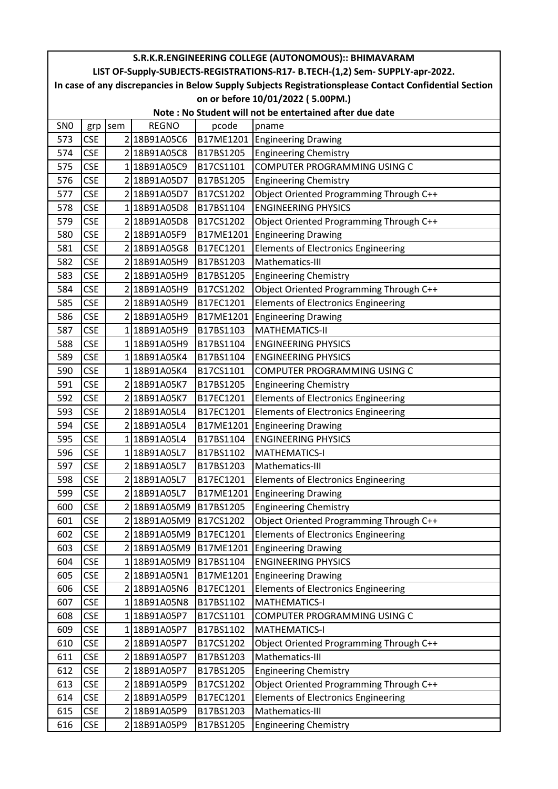| S.R.K.R.ENGINEERING COLLEGE (AUTONOMOUS):: BHIMAVARAM                                                  |            |     |              |           |                                            |  |  |
|--------------------------------------------------------------------------------------------------------|------------|-----|--------------|-----------|--------------------------------------------|--|--|
| LIST OF-Supply-SUBJECTS-REGISTRATIONS-R17- B.TECH-(1,2) Sem- SUPPLY-apr-2022.                          |            |     |              |           |                                            |  |  |
| In case of any discrepancies in Below Supply Subjects Registrationsplease Contact Confidential Section |            |     |              |           |                                            |  |  |
| on or before 10/01/2022 (5.00PM.)                                                                      |            |     |              |           |                                            |  |  |
| Note: No Student will not be entertained after due date                                                |            |     |              |           |                                            |  |  |
| SN <sub>0</sub>                                                                                        | grp        | sem | <b>REGNO</b> | pcode     | pname                                      |  |  |
| 573                                                                                                    | <b>CSE</b> |     | 2 18B91A05C6 |           | B17ME1201 Engineering Drawing              |  |  |
| 574                                                                                                    | <b>CSE</b> |     | 218B91A05C8  | B17BS1205 | <b>Engineering Chemistry</b>               |  |  |
| 575                                                                                                    | <b>CSE</b> |     | 1 18B91A05C9 | B17CS1101 | COMPUTER PROGRAMMING USING C               |  |  |
| 576                                                                                                    | <b>CSE</b> |     | 2 18B91A05D7 | B17BS1205 | <b>Engineering Chemistry</b>               |  |  |
| 577                                                                                                    | <b>CSE</b> |     | 218B91A05D7  | B17CS1202 | Object Oriented Programming Through C++    |  |  |
| 578                                                                                                    | <b>CSE</b> |     | 1 18B91A05D8 | B17BS1104 | <b>ENGINEERING PHYSICS</b>                 |  |  |
| 579                                                                                                    | <b>CSE</b> |     | 2 18B91A05D8 | B17CS1202 | Object Oriented Programming Through C++    |  |  |
| 580                                                                                                    | <b>CSE</b> |     | 218B91A05F9  | B17ME1201 | <b>Engineering Drawing</b>                 |  |  |
| 581                                                                                                    | <b>CSE</b> |     | 2 18B91A05G8 | B17EC1201 | <b>Elements of Electronics Engineering</b> |  |  |
| 582                                                                                                    | <b>CSE</b> |     | 218B91A05H9  | B17BS1203 | Mathematics-III                            |  |  |
| 583                                                                                                    | <b>CSE</b> |     | 2 18B91A05H9 | B17BS1205 | <b>Engineering Chemistry</b>               |  |  |
| 584                                                                                                    | <b>CSE</b> |     | 2 18B91A05H9 | B17CS1202 | Object Oriented Programming Through C++    |  |  |
| 585                                                                                                    | <b>CSE</b> |     | 2 18B91A05H9 | B17EC1201 | Elements of Electronics Engineering        |  |  |
| 586                                                                                                    | <b>CSE</b> |     | 218B91A05H9  | B17ME1201 | <b>Engineering Drawing</b>                 |  |  |
| 587                                                                                                    | <b>CSE</b> |     | 1 18B91A05H9 | B17BS1103 | <b>MATHEMATICS-II</b>                      |  |  |
| 588                                                                                                    | <b>CSE</b> |     | 118B91A05H9  | B17BS1104 | <b>ENGINEERING PHYSICS</b>                 |  |  |
| 589                                                                                                    | <b>CSE</b> |     | 1 18B91A05K4 | B17BS1104 | <b>ENGINEERING PHYSICS</b>                 |  |  |
| 590                                                                                                    | <b>CSE</b> |     | 1 18B91A05K4 | B17CS1101 | COMPUTER PROGRAMMING USING C               |  |  |
| 591                                                                                                    | <b>CSE</b> |     | 2 18B91A05K7 | B17BS1205 | <b>Engineering Chemistry</b>               |  |  |
| 592                                                                                                    | <b>CSE</b> |     | 2 18B91A05K7 | B17EC1201 | <b>Elements of Electronics Engineering</b> |  |  |
| 593                                                                                                    | <b>CSE</b> |     | 2 18B91A05L4 | B17EC1201 | <b>Elements of Electronics Engineering</b> |  |  |
| 594                                                                                                    | <b>CSE</b> |     | 2 18B91A05L4 | B17ME1201 | <b>Engineering Drawing</b>                 |  |  |
| 595                                                                                                    | <b>CSE</b> |     | 1 18B91A05L4 | B17BS1104 | <b>ENGINEERING PHYSICS</b>                 |  |  |
| 596                                                                                                    | <b>CSE</b> |     | 118B91A05L7  | B17BS1102 | <b>MATHEMATICS-I</b>                       |  |  |
| 597                                                                                                    | <b>CSE</b> |     | 2 18B91A05L7 | B17BS1203 | Mathematics-III                            |  |  |
| 598                                                                                                    | <b>CSE</b> |     | 218B91A05L7  | B17EC1201 | <b>Elements of Electronics Engineering</b> |  |  |
| 599                                                                                                    | <b>CSE</b> |     | 218B91A05L7  | B17ME1201 | <b>Engineering Drawing</b>                 |  |  |
| 600                                                                                                    | <b>CSE</b> |     | 2 18B91A05M9 | B17BS1205 | <b>Engineering Chemistry</b>               |  |  |
| 601                                                                                                    | <b>CSE</b> |     | 2 18B91A05M9 | B17CS1202 | Object Oriented Programming Through C++    |  |  |
| 602                                                                                                    | <b>CSE</b> |     | 2 18B91A05M9 | B17EC1201 | <b>Elements of Electronics Engineering</b> |  |  |
| 603                                                                                                    | <b>CSE</b> |     | 2 18B91A05M9 | B17ME1201 | <b>Engineering Drawing</b>                 |  |  |
| 604                                                                                                    | <b>CSE</b> |     | 118B91A05M9  | B17BS1104 | <b>ENGINEERING PHYSICS</b>                 |  |  |
| 605                                                                                                    | <b>CSE</b> |     | 2 18B91A05N1 | B17ME1201 | <b>Engineering Drawing</b>                 |  |  |
| 606                                                                                                    | <b>CSE</b> |     | 2 18B91A05N6 | B17EC1201 | <b>Elements of Electronics Engineering</b> |  |  |
| 607                                                                                                    | <b>CSE</b> |     | 118B91A05N8  | B17BS1102 | <b>MATHEMATICS-I</b>                       |  |  |
| 608                                                                                                    | <b>CSE</b> |     | 118B91A05P7  | B17CS1101 | COMPUTER PROGRAMMING USING C               |  |  |
| 609                                                                                                    | <b>CSE</b> |     | 1 18B91A05P7 | B17BS1102 | <b>MATHEMATICS-I</b>                       |  |  |
| 610                                                                                                    | <b>CSE</b> |     | 2 18B91A05P7 | B17CS1202 | Object Oriented Programming Through C++    |  |  |
| 611                                                                                                    | <b>CSE</b> |     | 2 18B91A05P7 | B17BS1203 | Mathematics-III                            |  |  |
| 612                                                                                                    | <b>CSE</b> |     | 218B91A05P7  | B17BS1205 | <b>Engineering Chemistry</b>               |  |  |
| 613                                                                                                    | <b>CSE</b> |     | 218B91A05P9  | B17CS1202 | Object Oriented Programming Through C++    |  |  |
| 614                                                                                                    | <b>CSE</b> |     | 2 18B91A05P9 | B17EC1201 | <b>Elements of Electronics Engineering</b> |  |  |
| 615                                                                                                    | <b>CSE</b> |     | 2 18B91A05P9 | B17BS1203 | Mathematics-III                            |  |  |
| 616                                                                                                    | <b>CSE</b> |     | 2 18B91A05P9 | B17BS1205 | <b>Engineering Chemistry</b>               |  |  |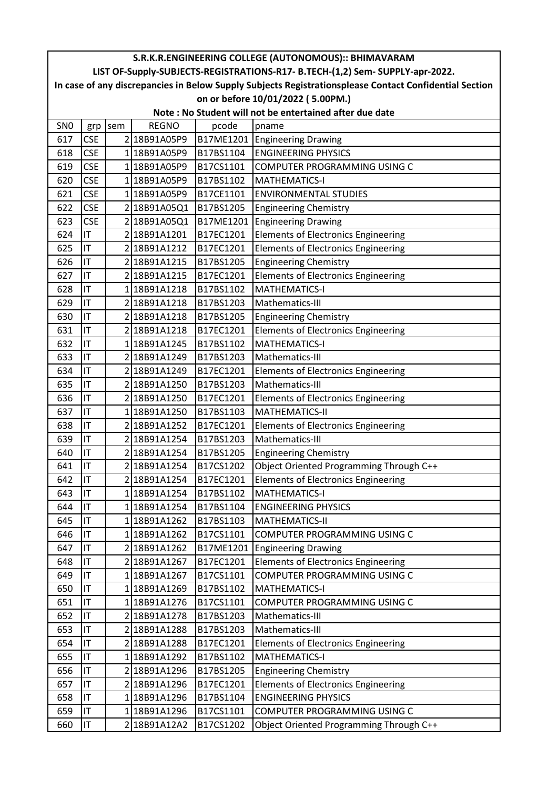| S.R.K.R.ENGINEERING COLLEGE (AUTONOMOUS):: BHIMAVARAM                                                  |            |     |              |           |                                            |  |  |
|--------------------------------------------------------------------------------------------------------|------------|-----|--------------|-----------|--------------------------------------------|--|--|
| LIST OF-Supply-SUBJECTS-REGISTRATIONS-R17- B.TECH-(1,2) Sem- SUPPLY-apr-2022.                          |            |     |              |           |                                            |  |  |
| In case of any discrepancies in Below Supply Subjects Registrationsplease Contact Confidential Section |            |     |              |           |                                            |  |  |
| on or before 10/01/2022 (5.00PM.)                                                                      |            |     |              |           |                                            |  |  |
| Note: No Student will not be entertained after due date                                                |            |     |              |           |                                            |  |  |
| SN <sub>0</sub>                                                                                        | grp        | sem | <b>REGNO</b> | pcode     | pname                                      |  |  |
| 617                                                                                                    | <b>CSE</b> |     | 218B91A05P9  |           | B17ME1201 Engineering Drawing              |  |  |
| 618                                                                                                    | <b>CSE</b> |     | 118B91A05P9  | B17BS1104 | <b>ENGINEERING PHYSICS</b>                 |  |  |
| 619                                                                                                    | <b>CSE</b> |     | 1 18B91A05P9 | B17CS1101 | COMPUTER PROGRAMMING USING C               |  |  |
| 620                                                                                                    | <b>CSE</b> |     | 1 18B91A05P9 | B17BS1102 | <b>MATHEMATICS-I</b>                       |  |  |
| 621                                                                                                    | <b>CSE</b> |     | 118B91A05P9  | B17CE1101 | <b>ENVIRONMENTAL STUDIES</b>               |  |  |
| 622                                                                                                    | <b>CSE</b> |     | 2 18B91A05Q1 | B17BS1205 | <b>Engineering Chemistry</b>               |  |  |
| 623                                                                                                    | <b>CSE</b> |     | 2 18B91A05Q1 | B17ME1201 | <b>Engineering Drawing</b>                 |  |  |
| 624                                                                                                    | IT         |     | 218B91A1201  | B17EC1201 | <b>Elements of Electronics Engineering</b> |  |  |
| 625                                                                                                    | IT         |     | 2 18B91A1212 | B17EC1201 | <b>Elements of Electronics Engineering</b> |  |  |
| 626                                                                                                    | IT         |     | 218B91A1215  | B17BS1205 | <b>Engineering Chemistry</b>               |  |  |
| 627                                                                                                    | IT         |     | 218B91A1215  | B17EC1201 | <b>Elements of Electronics Engineering</b> |  |  |
| 628                                                                                                    | IT         |     | 118B91A1218  | B17BS1102 | <b>MATHEMATICS-I</b>                       |  |  |
| 629                                                                                                    | IT         |     | 2 18B91A1218 | B17BS1203 | Mathematics-III                            |  |  |
| 630                                                                                                    | IT         |     | 218B91A1218  | B17BS1205 | <b>Engineering Chemistry</b>               |  |  |
| 631                                                                                                    | IT         |     | 218B91A1218  | B17EC1201 | <b>Elements of Electronics Engineering</b> |  |  |
| 632                                                                                                    | IT         |     | 118B91A1245  | B17BS1102 | <b>MATHEMATICS-I</b>                       |  |  |
| 633                                                                                                    | IT         |     | 2 18B91A1249 | B17BS1203 | Mathematics-III                            |  |  |
| 634                                                                                                    | IT         |     | 2 18B91A1249 | B17EC1201 | <b>Elements of Electronics Engineering</b> |  |  |
| 635                                                                                                    | IT         |     | 218B91A1250  | B17BS1203 | Mathematics-III                            |  |  |
| 636                                                                                                    | IT         |     | 218B91A1250  | B17EC1201 | <b>Elements of Electronics Engineering</b> |  |  |
| 637                                                                                                    | IT         |     | 1 18B91A1250 | B17BS1103 | <b>MATHEMATICS-II</b>                      |  |  |
| 638                                                                                                    | IT         |     | 218B91A1252  | B17EC1201 | <b>Elements of Electronics Engineering</b> |  |  |
| 639                                                                                                    | IT         |     | 2 18B91A1254 | B17BS1203 | Mathematics-III                            |  |  |
| 640                                                                                                    | IT         |     | 218B91A1254  | B17BS1205 | <b>Engineering Chemistry</b>               |  |  |
| 641                                                                                                    | İІT        |     | 218B91A1254  | B17CS1202 | Object Oriented Programming Through C++    |  |  |
| 642                                                                                                    | IT         |     | 2 18B91A1254 | B17EC1201 | <b>Elements of Electronics Engineering</b> |  |  |
| 643                                                                                                    | IT         |     | 1 18B91A1254 | B17BS1102 | <b>MATHEMATICS-I</b>                       |  |  |
| 644                                                                                                    | IT         |     | 1 18B91A1254 | B17BS1104 | <b>ENGINEERING PHYSICS</b>                 |  |  |
| 645                                                                                                    | IT         |     | 118B91A1262  | B17BS1103 | <b>MATHEMATICS-II</b>                      |  |  |
| 646                                                                                                    | IT         |     | 118B91A1262  | B17CS1101 | COMPUTER PROGRAMMING USING C               |  |  |
| 647                                                                                                    | IT         |     | 218B91A1262  | B17ME1201 | <b>Engineering Drawing</b>                 |  |  |
| 648                                                                                                    | IT         |     | 2 18B91A1267 | B17EC1201 | <b>Elements of Electronics Engineering</b> |  |  |
| 649                                                                                                    | IT         |     | 118B91A1267  | B17CS1101 | COMPUTER PROGRAMMING USING C               |  |  |
| 650                                                                                                    | IT         |     | 118B91A1269  | B17BS1102 | <b>MATHEMATICS-I</b>                       |  |  |
| 651                                                                                                    | IT         |     | 118B91A1276  | B17CS1101 | COMPUTER PROGRAMMING USING C               |  |  |
| 652                                                                                                    | IT         |     | 2 18B91A1278 | B17BS1203 | Mathematics-III                            |  |  |
| 653                                                                                                    | IT         |     | 2 18B91A1288 | B17BS1203 | Mathematics-III                            |  |  |
| 654                                                                                                    | IT         |     | 218B91A1288  | B17EC1201 | <b>Elements of Electronics Engineering</b> |  |  |
| 655                                                                                                    | IT         |     | 118B91A1292  | B17BS1102 | <b>MATHEMATICS-I</b>                       |  |  |
| 656                                                                                                    | IT         |     | 218B91A1296  | B17BS1205 | <b>Engineering Chemistry</b>               |  |  |
| 657                                                                                                    | IT         |     | 2 18B91A1296 | B17EC1201 | <b>Elements of Electronics Engineering</b> |  |  |
| 658                                                                                                    | IT         |     | 1 18B91A1296 | B17BS1104 | <b>ENGINEERING PHYSICS</b>                 |  |  |
| 659                                                                                                    | IT         |     | 1 18B91A1296 | B17CS1101 | COMPUTER PROGRAMMING USING C               |  |  |
| 660                                                                                                    | IT         |     | 2 18B91A12A2 | B17CS1202 | Object Oriented Programming Through C++    |  |  |
|                                                                                                        |            |     |              |           |                                            |  |  |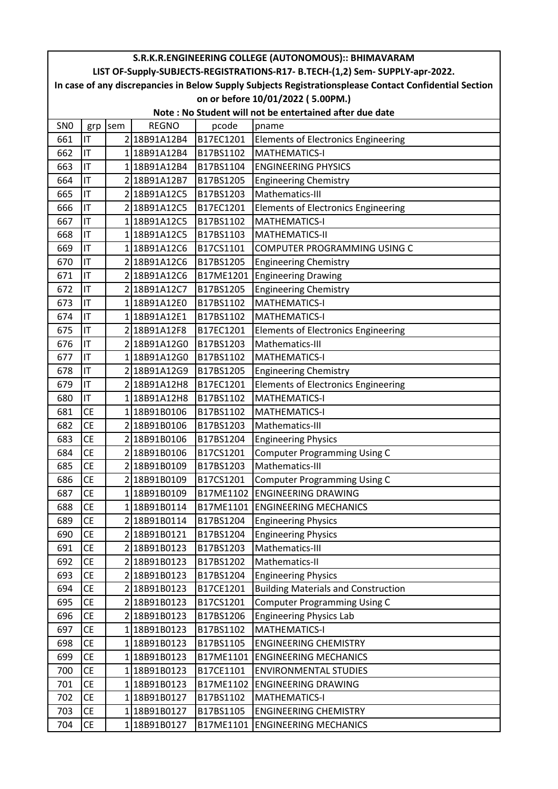| S.R.K.R.ENGINEERING COLLEGE (AUTONOMOUS):: BHIMAVARAM                                                  |           |     |              |           |                                            |  |  |
|--------------------------------------------------------------------------------------------------------|-----------|-----|--------------|-----------|--------------------------------------------|--|--|
| LIST OF-Supply-SUBJECTS-REGISTRATIONS-R17- B.TECH-(1,2) Sem- SUPPLY-apr-2022.                          |           |     |              |           |                                            |  |  |
| In case of any discrepancies in Below Supply Subjects Registrationsplease Contact Confidential Section |           |     |              |           |                                            |  |  |
| on or before 10/01/2022 (5.00PM.)                                                                      |           |     |              |           |                                            |  |  |
| Note: No Student will not be entertained after due date                                                |           |     |              |           |                                            |  |  |
| SN <sub>0</sub>                                                                                        | grp       | sem | <b>REGNO</b> | pcode     | pname                                      |  |  |
| 661                                                                                                    | IT        |     | 2 18B91A12B4 | B17EC1201 | <b>Elements of Electronics Engineering</b> |  |  |
| 662                                                                                                    | IT        |     | 118B91A12B4  | B17BS1102 | <b>MATHEMATICS-I</b>                       |  |  |
| 663                                                                                                    | IT        |     | 118B91A12B4  | B17BS1104 | <b>ENGINEERING PHYSICS</b>                 |  |  |
| 664                                                                                                    | IT        |     | 2 18B91A12B7 | B17BS1205 | <b>Engineering Chemistry</b>               |  |  |
| 665                                                                                                    | IT        |     | 218B91A12C5  | B17BS1203 | Mathematics-III                            |  |  |
| 666                                                                                                    | IT        |     | 2 18B91A12C5 | B17EC1201 | <b>Elements of Electronics Engineering</b> |  |  |
| 667                                                                                                    | IT        |     | 1 18B91A12C5 | B17BS1102 | <b>MATHEMATICS-I</b>                       |  |  |
| 668                                                                                                    | IT        |     | 118B91A12C5  | B17BS1103 | <b>MATHEMATICS-II</b>                      |  |  |
| 669                                                                                                    | IT        |     | 118B91A12C6  | B17CS1101 | COMPUTER PROGRAMMING USING C               |  |  |
| 670                                                                                                    | IT        |     | 2 18B91A12C6 | B17BS1205 | <b>Engineering Chemistry</b>               |  |  |
| 671                                                                                                    | IT        |     | 2 18B91A12C6 | B17ME1201 | <b>Engineering Drawing</b>                 |  |  |
| 672                                                                                                    | IT        |     | 2 18B91A12C7 | B17BS1205 | <b>Engineering Chemistry</b>               |  |  |
| 673                                                                                                    | IT        |     | 1 18B91A12E0 | B17BS1102 | <b>MATHEMATICS-I</b>                       |  |  |
| 674                                                                                                    | IT        |     | 118B91A12E1  | B17BS1102 | <b>MATHEMATICS-I</b>                       |  |  |
| 675                                                                                                    | IT        |     | 2 18B91A12F8 | B17EC1201 | <b>Elements of Electronics Engineering</b> |  |  |
| 676                                                                                                    | IT        |     | 2 18B91A12G0 | B17BS1203 | Mathematics-III                            |  |  |
| 677                                                                                                    | IT        |     | 118B91A12G0  | B17BS1102 | <b>MATHEMATICS-I</b>                       |  |  |
| 678                                                                                                    | IT        |     | 2 18B91A12G9 | B17BS1205 | <b>Engineering Chemistry</b>               |  |  |
| 679                                                                                                    | IT        |     | 2 18B91A12H8 | B17EC1201 | <b>Elements of Electronics Engineering</b> |  |  |
| 680                                                                                                    | IT        |     | 118B91A12H8  | B17BS1102 | <b>MATHEMATICS-I</b>                       |  |  |
| 681                                                                                                    | <b>CE</b> |     | 118B91B0106  | B17BS1102 | <b>MATHEMATICS-I</b>                       |  |  |
| 682                                                                                                    | <b>CE</b> |     | 2 18B91B0106 | B17BS1203 | Mathematics-III                            |  |  |
| 683                                                                                                    | <b>CE</b> |     | 218B91B0106  | B17BS1204 | <b>Engineering Physics</b>                 |  |  |
| 684                                                                                                    | <b>CE</b> |     | 218B91B0106  | B17CS1201 | <b>Computer Programming Using C</b>        |  |  |
| 685                                                                                                    | <b>CE</b> |     | 218B91B0109  | B17BS1203 | Mathematics-III                            |  |  |
| 686                                                                                                    | <b>CE</b> |     | 2 18B91B0109 | B17CS1201 | Computer Programming Using C               |  |  |
| 687                                                                                                    | <b>CE</b> |     | 118B91B0109  |           | B17ME1102 ENGINEERING DRAWING              |  |  |
| 688                                                                                                    | <b>CE</b> |     | 1 18B91B0114 |           | B17ME1101 ENGINEERING MECHANICS            |  |  |
| 689                                                                                                    | <b>CE</b> |     | 2 18B91B0114 | B17BS1204 | <b>Engineering Physics</b>                 |  |  |
| 690                                                                                                    | <b>CE</b> |     | 2 18B91B0121 | B17BS1204 | <b>Engineering Physics</b>                 |  |  |
| 691                                                                                                    | <b>CE</b> |     | 2 18B91B0123 | B17BS1203 | Mathematics-III                            |  |  |
| 692                                                                                                    | <b>CE</b> |     | 218B91B0123  | B17BS1202 | Mathematics-II                             |  |  |
| 693                                                                                                    | <b>CE</b> |     | 2 18B91B0123 | B17BS1204 | <b>Engineering Physics</b>                 |  |  |
| 694                                                                                                    | <b>CE</b> |     | 218B91B0123  | B17CE1201 | <b>Building Materials and Construction</b> |  |  |
| 695                                                                                                    | <b>CE</b> |     | 2 18B91B0123 | B17CS1201 | <b>Computer Programming Using C</b>        |  |  |
| 696                                                                                                    | <b>CE</b> |     | 218B91B0123  | B17BS1206 | <b>Engineering Physics Lab</b>             |  |  |
| 697                                                                                                    | <b>CE</b> |     | 1 18B91B0123 | B17BS1102 | <b>MATHEMATICS-I</b>                       |  |  |
| 698                                                                                                    | <b>CE</b> |     | 118B91B0123  | B17BS1105 | <b>ENGINEERING CHEMISTRY</b>               |  |  |
| 699                                                                                                    | <b>CE</b> |     | 118B91B0123  | B17ME1101 | <b>ENGINEERING MECHANICS</b>               |  |  |
| 700                                                                                                    | <b>CE</b> |     | 118B91B0123  | B17CE1101 | <b>ENVIRONMENTAL STUDIES</b>               |  |  |
| 701                                                                                                    | <b>CE</b> |     | 1 18B91B0123 | B17ME1102 | <b>ENGINEERING DRAWING</b>                 |  |  |
| 702                                                                                                    | <b>CE</b> |     | 1 18B91B0127 | B17BS1102 | <b>MATHEMATICS-I</b>                       |  |  |
| 703                                                                                                    | <b>CE</b> |     | 118B91B0127  | B17BS1105 | <b>ENGINEERING CHEMISTRY</b>               |  |  |
| 704                                                                                                    | <b>CE</b> |     | 1 18B91B0127 | B17ME1101 | <b>ENGINEERING MECHANICS</b>               |  |  |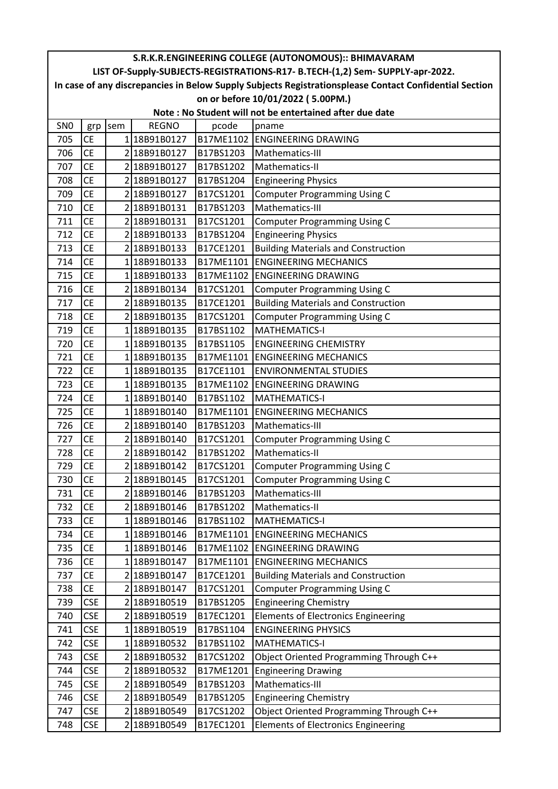| S.R.K.R.ENGINEERING COLLEGE (AUTONOMOUS):: BHIMAVARAM                                                  |            |     |              |           |                                            |  |  |
|--------------------------------------------------------------------------------------------------------|------------|-----|--------------|-----------|--------------------------------------------|--|--|
| LIST OF-Supply-SUBJECTS-REGISTRATIONS-R17- B.TECH-(1,2) Sem- SUPPLY-apr-2022.                          |            |     |              |           |                                            |  |  |
| In case of any discrepancies in Below Supply Subjects Registrationsplease Contact Confidential Section |            |     |              |           |                                            |  |  |
| on or before 10/01/2022 (5.00PM.)                                                                      |            |     |              |           |                                            |  |  |
| Note: No Student will not be entertained after due date                                                |            |     |              |           |                                            |  |  |
| SN <sub>0</sub>                                                                                        | grp        | sem | <b>REGNO</b> | pcode     | pname                                      |  |  |
| 705                                                                                                    | <b>CE</b>  |     | 118B91B0127  |           | B17ME1102 ENGINEERING DRAWING              |  |  |
| 706                                                                                                    | <b>CE</b>  |     | 2 18B91B0127 | B17BS1203 | Mathematics-III                            |  |  |
| 707                                                                                                    | <b>CE</b>  |     | 2 18B91B0127 | B17BS1202 | Mathematics-II                             |  |  |
| 708                                                                                                    | <b>CE</b>  |     | 218B91B0127  | B17BS1204 | <b>Engineering Physics</b>                 |  |  |
| 709                                                                                                    | <b>CE</b>  |     | 218B91B0127  | B17CS1201 | <b>Computer Programming Using C</b>        |  |  |
| 710                                                                                                    | <b>CE</b>  |     | 2 18B91B0131 | B17BS1203 | Mathematics-III                            |  |  |
| 711                                                                                                    | <b>CE</b>  |     | 2 18B91B0131 | B17CS1201 | <b>Computer Programming Using C</b>        |  |  |
| 712                                                                                                    | <b>CE</b>  |     | 2 18B91B0133 | B17BS1204 | <b>Engineering Physics</b>                 |  |  |
| 713                                                                                                    | <b>CE</b>  |     | 218B91B0133  | B17CE1201 | <b>Building Materials and Construction</b> |  |  |
| 714                                                                                                    | <b>CE</b>  |     | 118B91B0133  | B17ME1101 | <b>ENGINEERING MECHANICS</b>               |  |  |
| 715                                                                                                    | <b>CE</b>  |     | 118B91B0133  |           | B17ME1102 ENGINEERING DRAWING              |  |  |
| 716                                                                                                    | <b>CE</b>  |     | 2 18B91B0134 | B17CS1201 | <b>Computer Programming Using C</b>        |  |  |
| 717                                                                                                    | <b>CE</b>  |     | 218B91B0135  | B17CE1201 | <b>Building Materials and Construction</b> |  |  |
| 718                                                                                                    | <b>CE</b>  |     | 2 18B91B0135 | B17CS1201 | <b>Computer Programming Using C</b>        |  |  |
| 719                                                                                                    | <b>CE</b>  |     | 118B91B0135  | B17BS1102 | <b>MATHEMATICS-I</b>                       |  |  |
| 720                                                                                                    | <b>CE</b>  |     | 118B91B0135  | B17BS1105 | <b>ENGINEERING CHEMISTRY</b>               |  |  |
| 721                                                                                                    | <b>CE</b>  |     | 118B91B0135  | B17ME1101 | <b>ENGINEERING MECHANICS</b>               |  |  |
| 722                                                                                                    | <b>CE</b>  |     | 118B91B0135  | B17CE1101 | <b>ENVIRONMENTAL STUDIES</b>               |  |  |
| 723                                                                                                    | <b>CE</b>  |     | 118B91B0135  | B17ME1102 | <b>ENGINEERING DRAWING</b>                 |  |  |
| 724                                                                                                    | <b>CE</b>  |     | 118B91B0140  | B17BS1102 | <b>MATHEMATICS-I</b>                       |  |  |
| 725                                                                                                    | <b>CE</b>  |     | 118B91B0140  | B17ME1101 | <b>ENGINEERING MECHANICS</b>               |  |  |
| 726                                                                                                    | <b>CE</b>  |     | 2 18B91B0140 | B17BS1203 | Mathematics-III                            |  |  |
| 727                                                                                                    | <b>CE</b>  |     | 2 18B91B0140 | B17CS1201 | <b>Computer Programming Using C</b>        |  |  |
| 728                                                                                                    | <b>CE</b>  |     | 2 18B91B0142 | B17BS1202 | Mathematics-II                             |  |  |
| 729                                                                                                    | <b>CE</b>  |     | 218B91B0142  | B17CS1201 | <b>Computer Programming Using C</b>        |  |  |
| 730                                                                                                    | <b>CE</b>  |     | 2 18B91B0145 | B17CS1201 | <b>Computer Programming Using C</b>        |  |  |
| 731                                                                                                    | <b>CE</b>  |     | 2 18B91B0146 | B17BS1203 | Mathematics-III                            |  |  |
| 732                                                                                                    | <b>CE</b>  |     | 2 18B91B0146 | B17BS1202 | Mathematics-II                             |  |  |
| 733                                                                                                    | <b>CE</b>  |     | 1 18B91B0146 | B17BS1102 | <b>MATHEMATICS-I</b>                       |  |  |
| 734                                                                                                    | <b>CE</b>  |     | 1 18B91B0146 | B17ME1101 | <b>ENGINEERING MECHANICS</b>               |  |  |
| 735                                                                                                    | <b>CE</b>  |     | 118B91B0146  | B17ME1102 | <b>ENGINEERING DRAWING</b>                 |  |  |
| 736                                                                                                    | <b>CE</b>  |     | 118B91B0147  | B17ME1101 | <b>ENGINEERING MECHANICS</b>               |  |  |
| 737                                                                                                    | <b>CE</b>  |     | 2 18B91B0147 | B17CE1201 | <b>Building Materials and Construction</b> |  |  |
| 738                                                                                                    | <b>CE</b>  |     | 218B91B0147  | B17CS1201 | <b>Computer Programming Using C</b>        |  |  |
| 739                                                                                                    | <b>CSE</b> |     | 2 18B91B0519 | B17BS1205 | <b>Engineering Chemistry</b>               |  |  |
| 740                                                                                                    | <b>CSE</b> |     | 218B91B0519  | B17EC1201 | <b>Elements of Electronics Engineering</b> |  |  |
| 741                                                                                                    | <b>CSE</b> |     | 1 18B91B0519 | B17BS1104 | <b>ENGINEERING PHYSICS</b>                 |  |  |
| 742                                                                                                    | <b>CSE</b> |     | 118B91B0532  | B17BS1102 | <b>MATHEMATICS-I</b>                       |  |  |
| 743                                                                                                    | <b>CSE</b> |     | 2 18B91B0532 | B17CS1202 | Object Oriented Programming Through C++    |  |  |
| 744                                                                                                    | <b>CSE</b> |     | 218B91B0532  | B17ME1201 | <b>Engineering Drawing</b>                 |  |  |
| 745                                                                                                    | <b>CSE</b> |     | 2 18B91B0549 | B17BS1203 | Mathematics-III                            |  |  |
| 746                                                                                                    | <b>CSE</b> |     | 2 18B91B0549 | B17BS1205 | <b>Engineering Chemistry</b>               |  |  |
| 747                                                                                                    | <b>CSE</b> |     | 2 18B91B0549 | B17CS1202 | Object Oriented Programming Through C++    |  |  |
| 748                                                                                                    | <b>CSE</b> |     | 2 18B91B0549 | B17EC1201 | <b>Elements of Electronics Engineering</b> |  |  |